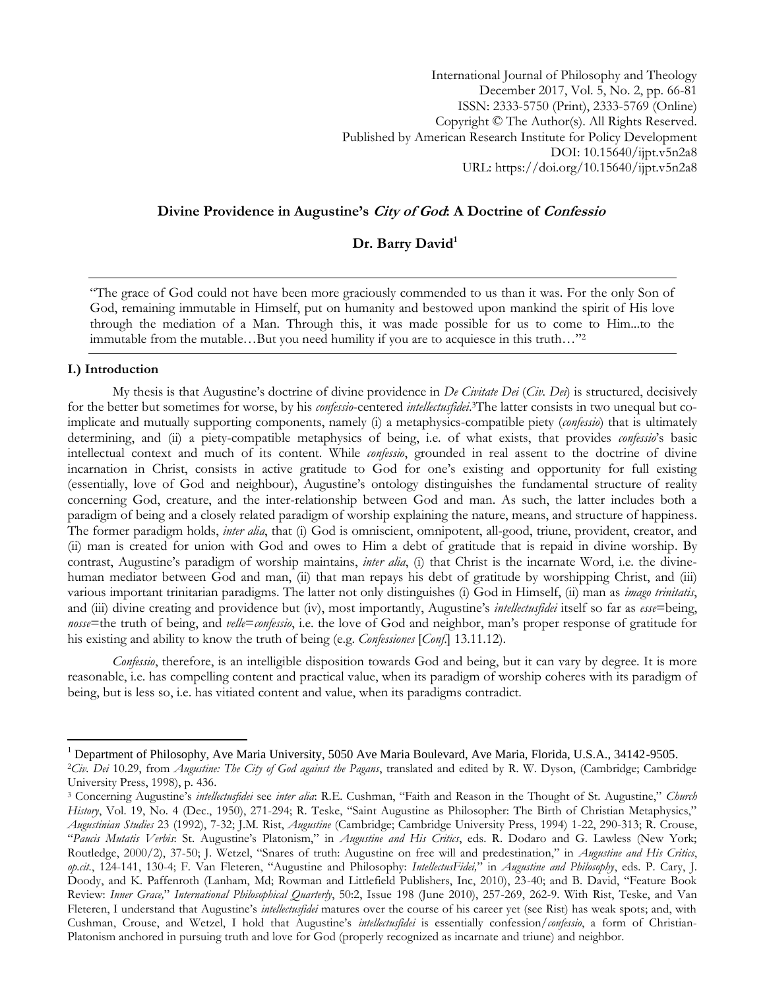International Journal of Philosophy and Theology December 2017, Vol. 5, No. 2, pp. 66-81 ISSN: 2333-5750 (Print), 2333-5769 (Online) Copyright © The Author(s). All Rights Reserved. Published by American Research Institute for Policy Development DOI: 10.15640/ijpt.v5n2a8 URL: https://doi.org/10.15640/ijpt.v5n2a8

### **Divine Providence in Augustine's City of God: A Doctrine of Confessio**

# **Dr. Barry David<sup>1</sup>**

"The grace of God could not have been more graciously commended to us than it was. For the only Son of God, remaining immutable in Himself, put on humanity and bestowed upon mankind the spirit of His love through the mediation of a Man. Through this, it was made possible for us to come to Him...to the immutable from the mutable…But you need humility if you are to acquiesce in this truth…"<sup>2</sup>

#### **I.) Introduction**

 $\overline{a}$ 

My thesis is that Augustine"s doctrine of divine providence in *De Civitate Dei* (*Civ. Dei*) is structured, decisively for the better but sometimes for worse, by his *confessio*-centered *intellectusfidei*. 3The latter consists in two unequal but coimplicate and mutually supporting components, namely (i) a metaphysics-compatible piety (*confessio*) that is ultimately determining, and (ii) a piety-compatible metaphysics of being, i.e. of what exists, that provides *confessio*"s basic intellectual context and much of its content. While *confessio*, grounded in real assent to the doctrine of divine incarnation in Christ, consists in active gratitude to God for one"s existing and opportunity for full existing (essentially, love of God and neighbour), Augustine"s ontology distinguishes the fundamental structure of reality concerning God, creature, and the inter-relationship between God and man. As such, the latter includes both a paradigm of being and a closely related paradigm of worship explaining the nature, means, and structure of happiness. The former paradigm holds, *inter alia*, that (i) God is omniscient, omnipotent, all-good, triune, provident, creator, and (ii) man is created for union with God and owes to Him a debt of gratitude that is repaid in divine worship. By contrast, Augustine"s paradigm of worship maintains, *inter alia*, (i) that Christ is the incarnate Word, i.e. the divinehuman mediator between God and man, (ii) that man repays his debt of gratitude by worshipping Christ, and (iii) various important trinitarian paradigms. The latter not only distinguishes (i) God in Himself, (ii) man as *imago trinitatis*, and (iii) divine creating and providence but (iv), most importantly, Augustine"s *intellectusfidei* itself so far as *esse*=being, *nosse*=the truth of being, and *velle*=*confessio*, i.e. the love of God and neighbor, man"s proper response of gratitude for his existing and ability to know the truth of being (e.g. *Confessiones* [*Conf*.] 13.11.12).

*Confessio*, therefore, is an intelligible disposition towards God and being, but it can vary by degree. It is more reasonable, i.e. has compelling content and practical value, when its paradigm of worship coheres with its paradigm of being, but is less so, i.e. has vitiated content and value, when its paradigms contradict.

<sup>1</sup> Department of Philosophy, Ave Maria University, 5050 Ave Maria Boulevard, Ave Maria, Florida, U.S.A., 34142-9505.

<sup>2</sup>*Civ. Dei* 10.29, from *Augustine: The City of God against the Pagans*, translated and edited by R. W. Dyson, (Cambridge; Cambridge University Press, 1998), p. 436.

<sup>3</sup> Concerning Augustine"s *intellectusfidei* see *inter alia*: R.E. Cushman, "Faith and Reason in the Thought of St. Augustine," *Church History*, Vol. 19, No. 4 (Dec., 1950), 271-294; R. Teske, "Saint Augustine as Philosopher: The Birth of Christian Metaphysics," *Augustinian Studies* 23 (1992), 7-32; J.M. Rist, *Augustine* (Cambridge; Cambridge University Press, 1994) 1-22, 290-313; R. Crouse, "*Paucis Mutatis Verbis*: St. Augustine"s Platonism," in *Augustine and His Critics*, eds. R. Dodaro and G. Lawless (New York; Routledge, 2000/2), 37-50; J. Wetzel, "Snares of truth: Augustine on free will and predestination," in *Augustine and His Critics*, *op.cit.*, 124-141, 130-4; F. Van Fleteren, "Augustine and Philosophy: *IntellectusFidei,*" in *Augustine and Philosophy*, eds. P. Cary, J. Doody, and K. Paffenroth (Lanham, Md; Rowman and Littlefield Publishers, Inc, 2010), 23-40; and B. David, "Feature Book Review: *Inner Grace,*" *International Philosophical Quarterly*, 50:2, Issue 198 (June 2010), 257-269, 262-9. With Rist, Teske, and Van Fleteren, I understand that Augustine"s *intellectusfidei* matures over the course of his career yet (see Rist) has weak spots; and, with Cushman, Crouse, and Wetzel, I hold that Augustine"s *intellectusfidei* is essentially confession/*confessio*, a form of Christian-Platonism anchored in pursuing truth and love for God (properly recognized as incarnate and triune) and neighbor.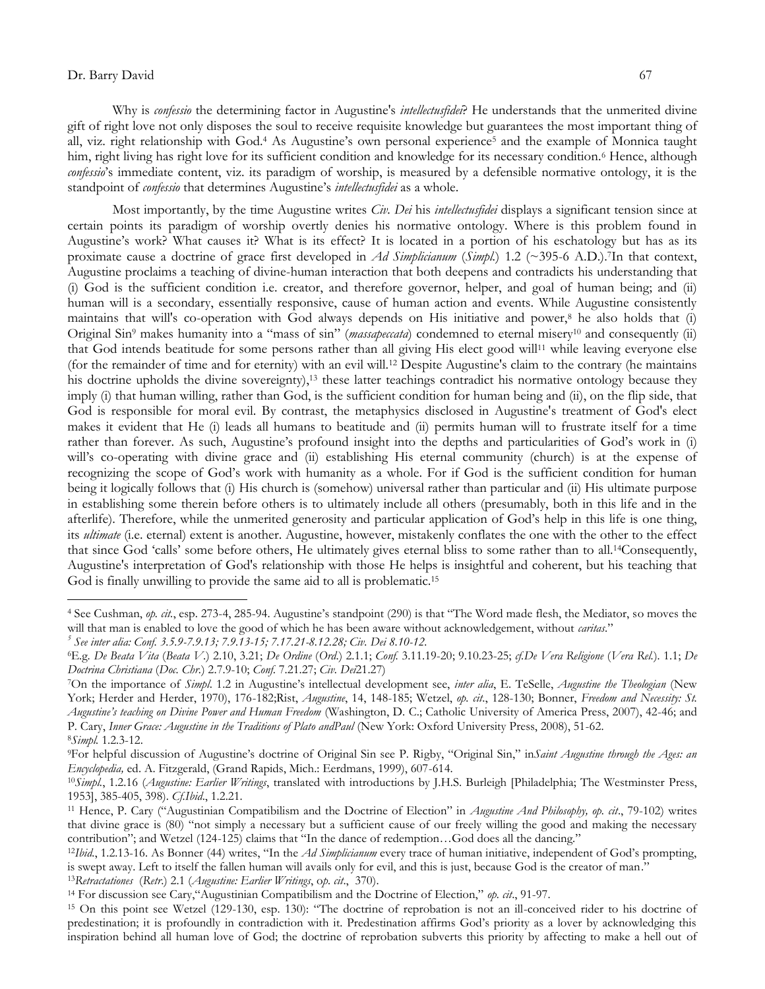$\overline{a}$ 

Why is *confessio* the determining factor in Augustine's *intellectusfidei*? He understands that the unmerited divine gift of right love not only disposes the soul to receive requisite knowledge but guarantees the most important thing of all, viz. right relationship with God.<sup>4</sup> As Augustine"s own personal experience<sup>5</sup> and the example of Monnica taught him, right living has right love for its sufficient condition and knowledge for its necessary condition.<sup>6</sup> Hence, although *confessio*"s immediate content, viz. its paradigm of worship, is measured by a defensible normative ontology, it is the standpoint of *confessio* that determines Augustine's *intellectusfidei* as a whole.

Most importantly, by the time Augustine writes *Civ. Dei* his *intellectusfidei* displays a significant tension since at certain points its paradigm of worship overtly denies his normative ontology. Where is this problem found in Augustine"s work? What causes it? What is its effect? It is located in a portion of his eschatology but has as its proximate cause a doctrine of grace first developed in *Ad Simplicianum* (*Simpl.*) 1.2 (~395-6 A.D.).7In that context, Augustine proclaims a teaching of divine-human interaction that both deepens and contradicts his understanding that (i) God is the sufficient condition i.e. creator, and therefore governor, helper, and goal of human being; and (ii) human will is a secondary, essentially responsive, cause of human action and events. While Augustine consistently maintains that will's co-operation with God always depends on His initiative and power,<sup>8</sup> he also holds that (i) Original Sin<sup>9</sup> makes humanity into a "mass of sin" (*massapeccata*) condemned to eternal misery<sup>10</sup> and consequently (ii) that God intends beatitude for some persons rather than all giving His elect good will<sup>11</sup> while leaving everyone else (for the remainder of time and for eternity) with an evil will.<sup>12</sup> Despite Augustine's claim to the contrary (he maintains his doctrine upholds the divine sovereignty),<sup>13</sup> these latter teachings contradict his normative ontology because they imply (i) that human willing, rather than God, is the sufficient condition for human being and (ii), on the flip side, that God is responsible for moral evil. By contrast, the metaphysics disclosed in Augustine's treatment of God's elect makes it evident that He (i) leads all humans to beatitude and (ii) permits human will to frustrate itself for a time rather than forever. As such, Augustine's profound insight into the depths and particularities of God's work in (i) will's co-operating with divine grace and (ii) establishing His eternal community (church) is at the expense of recognizing the scope of God"s work with humanity as a whole. For if God is the sufficient condition for human being it logically follows that (i) His church is (somehow) universal rather than particular and (ii) His ultimate purpose in establishing some therein before others is to ultimately include all others (presumably, both in this life and in the afterlife). Therefore, while the unmerited generosity and particular application of God"s help in this life is one thing, its *ultimate* (i.e. eternal) extent is another. Augustine, however, mistakenly conflates the one with the other to the effect that since God "calls" some before others, He ultimately gives eternal bliss to some rather than to all.14Consequently, Augustine's interpretation of God's relationship with those He helps is insightful and coherent, but his teaching that God is finally unwilling to provide the same aid to all is problematic. 15

<sup>4</sup> See Cushman, *op. cit.*, esp. 273-4, 285-94. Augustine"s standpoint (290) is that "The Word made flesh, the Mediator, so moves the will that man is enabled to love the good of which he has been aware without acknowledgement, without *caritas*."

*<sup>5</sup> See inter alia: Conf. 3.5.9-7.9.13; 7.9.13-15; 7.17.21-8.12.28; Civ. Dei 8.10-12.*

<sup>6</sup>E.g. *De Beata Vita* (*Beata V*.) 2.10, 3.21; *De Ordine* (*Ord*.) 2.1.1; *Conf.* 3.11.19-20; 9.10.23-25; *cf.De Vera Religione* (*Vera Rel.*)*.* 1.1; *De Doctrina Christiana* (*Doc. Chr.*) 2.7.9-10; *Conf*. 7.21.27; *Civ. Dei*21.27)

<sup>7</sup>On the importance of *Simpl*. 1.2 in Augustine"s intellectual development see, *inter alia*, E. TeSelle, *Augustine the Theologian* (New York; Herder and Herder, 1970), 176-182;Rist, *Augustine*, 14, 148-185; Wetzel, *op. cit*., 128-130; Bonner, *Freedom and Necessity: St. Augustine's teaching on Divine Power and Human Freedom* (Washington, D. C.; Catholic University of America Press, 2007), 42-46; and P. Cary, *Inner Grace: Augustine in the Traditions of Plato andPaul* (New York: Oxford University Press, 2008), 51-62. <sup>8</sup>*Simpl.* 1.2.3-12.

<sup>9</sup>For helpful discussion of Augustine"s doctrine of Original Sin see P. Rigby, "Original Sin," in*Saint Augustine through the Ages: an Encyclopedia,* ed. A. Fitzgerald, (Grand Rapids, Mich.: Eerdmans, 1999), 607-614.

<sup>10</sup>*Simpl.*, 1.2.16 (*Augustine: Earlier Writings*, translated with introductions by J.H.S. Burleigh [Philadelphia; The Westminster Press, 1953], 385-405, 398). *Cf.Ibid*., 1.2.21.

<sup>11</sup> Hence, P. Cary ("Augustinian Compatibilism and the Doctrine of Election" in *Augustine And Philosophy, op. cit*., 79-102) writes that divine grace is (80) "not simply a necessary but a sufficient cause of our freely willing the good and making the necessary contribution"; and Wetzel (124-125) claims that "In the dance of redemption…God does all the dancing."

<sup>12</sup>*Ibid.*, 1.2.13-16. As Bonner (44) writes, "In the *Ad Simplicianum* every trace of human initiative, independent of God"s prompting, is swept away. Left to itself the fallen human will avails only for evil, and this is just, because God is the creator of man."

<sup>13</sup>*Retractationes* (*Retr*.) 2.1 (*Augustine: Earlier Writings*, o*p. cit*., 370).

<sup>14</sup> For discussion see Cary,"Augustinian Compatibilism and the Doctrine of Election," *op. cit*., 91-97.

<sup>15</sup> On this point see Wetzel (129-130, esp. 130): "The doctrine of reprobation is not an ill-conceived rider to his doctrine of predestination; it is profoundly in contradiction with it. Predestination affirms God"s priority as a lover by acknowledging this inspiration behind all human love of God; the doctrine of reprobation subverts this priority by affecting to make a hell out of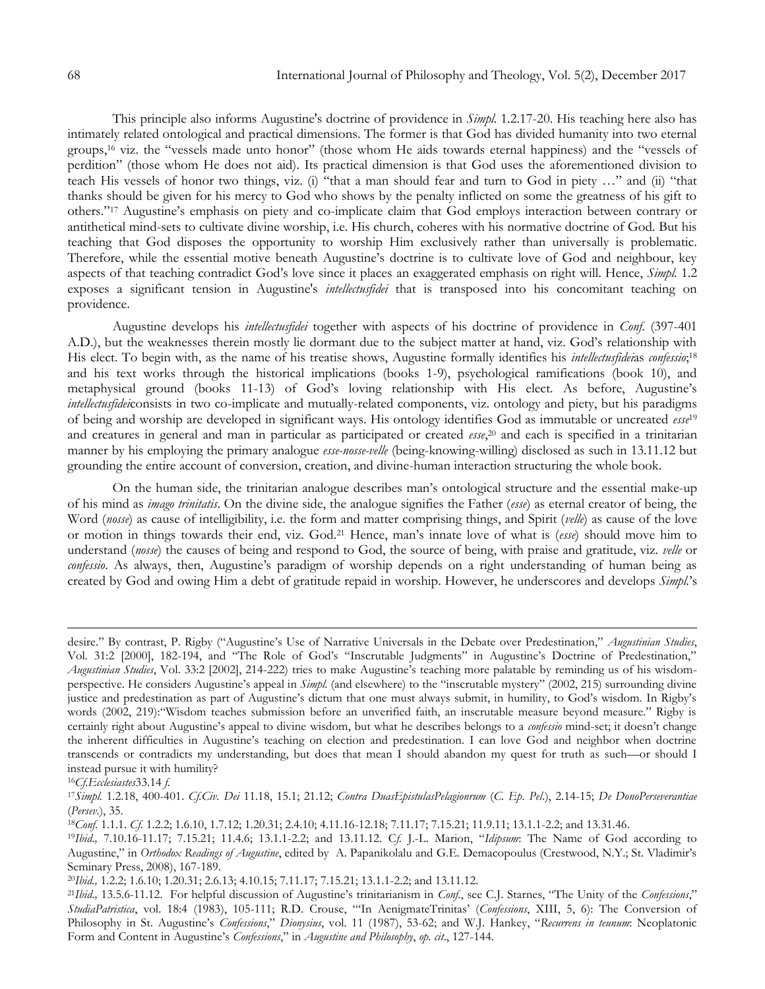This principle also informs Augustine's doctrine of providence in *Simpl.* 1.2.17-20. His teaching here also has intimately related ontological and practical dimensions. The former is that God has divided humanity into two eternal groups,<sup>16</sup> viz. the "vessels made unto honor" (those whom He aids towards eternal happiness) and the "vessels of perdition" (those whom He does not aid). Its practical dimension is that God uses the aforementioned division to teach His vessels of honor two things, viz. (i) "that a man should fear and turn to God in piety …" and (ii) "that thanks should be given for his mercy to God who shows by the penalty inflicted on some the greatness of his gift to others."<sup>17</sup> Augustine"s emphasis on piety and co-implicate claim that God employs interaction between contrary or antithetical mind-sets to cultivate divine worship, i.e. His church, coheres with his normative doctrine of God. But his teaching that God disposes the opportunity to worship Him exclusively rather than universally is problematic. Therefore, while the essential motive beneath Augustine"s doctrine is to cultivate love of God and neighbour, key aspects of that teaching contradict God"s love since it places an exaggerated emphasis on right will. Hence, *Simpl.* 1.2 exposes a significant tension in Augustine's *intellectusfidei* that is transposed into his concomitant teaching on providence.

Augustine develops his *intellectusfidei* together with aspects of his doctrine of providence in *Conf*. (397-401 A.D.), but the weaknesses therein mostly lie dormant due to the subject matter at hand, viz. God"s relationship with His elect. To begin with, as the name of his treatise shows, Augustine formally identifies his *intellectusfidei*as *confessio*; 18 and his text works through the historical implications (books 1-9), psychological ramifications (book 10), and metaphysical ground (books 11-13) of God's loving relationship with His elect. As before, Augustine's *intellectusfidei*consists in two co-implicate and mutually-related components, viz. ontology and piety, but his paradigms of being and worship are developed in significant ways. His ontology identifies God as immutable or uncreated *esse*<sup>19</sup> and creatures in general and man in particular as participated or created *esse*, <sup>20</sup> and each is specified in a trinitarian manner by his employing the primary analogue *esse-nosse-velle* (being-knowing-willing) disclosed as such in 13.11.12 but grounding the entire account of conversion, creation, and divine-human interaction structuring the whole book.

On the human side, the trinitarian analogue describes man"s ontological structure and the essential make-up of his mind as *imago trinitatis*. On the divine side, the analogue signifies the Father (*esse*) as eternal creator of being, the Word (*nosse*) as cause of intelligibility, i.e. the form and matter comprising things, and Spirit (*velle*) as cause of the love or motion in things towards their end, viz. God.<sup>21</sup> Hence, man"s innate love of what is (*esse*) should move him to understand (*nosse*) the causes of being and respond to God, the source of being, with praise and gratitude, viz. *velle* or *confessio*. As always, then, Augustine's paradigm of worship depends on a right understanding of human being as created by God and owing Him a debt of gratitude repaid in worship. However, he underscores and develops *Simpl.*"s

 $\overline{a}$ 

<sup>18</sup>*Conf.* 1.1.1. *Cf.* 1.2.2; 1.6.10, 1.7.12; 1.20.31; 2.4.10; 4.11.16-12.18; 7.11.17; 7.15.21; 11.9.11; 13.1.1-2.2; and 13.31.46.

desire." By contrast, P. Rigby ("Augustine"s Use of Narrative Universals in the Debate over Predestination," *Augustinian Studies*, Vol. 31:2 [2000], 182-194, and "The Role of God"s "Inscrutable Judgments" in Augustine"s Doctrine of Predestination," *Augustinian Studies*, Vol. 33:2 [2002], 214-222) tries to make Augustine"s teaching more palatable by reminding us of his wisdomperspective. He considers Augustine"s appeal in *Simpl.* (and elsewhere) to the "inscrutable mystery" (2002, 215) surrounding divine justice and predestination as part of Augustine's dictum that one must always submit, in humility, to God's wisdom. In Rigby's words (2002, 219):"Wisdom teaches submission before an unverified faith, an inscrutable measure beyond measure." Rigby is certainly right about Augustine"s appeal to divine wisdom, but what he describes belongs to a *confessio* mind-set; it doesn"t change the inherent difficulties in Augustine's teaching on election and predestination. I can love God and neighbor when doctrine transcends or contradicts my understanding, but does that mean I should abandon my quest for truth as such—or should I instead pursue it with humility?

<sup>16</sup>*Cf.Ecclesiastes*33.14 *f*.

<sup>17</sup>*Simpl.* 1.2.18, 400-401. *Cf.Civ. Dei* 11.18, 15.1; 21.12; *Contra DuasEpistulasPelagionrum* (*C. Ep. Pel*.), 2.14-15; *De DonoPerseverantiae* (*Persev*.), 35.

<sup>19</sup>*Ibid.,* 7.10.16-11.17; 7.15.21; 11.4.6; 13.1.1-2.2; and 13.11.12. C*f.* J.-L. Marion, "*Idipsum*: The Name of God according to Augustine," in *Orthodox Readings of Augustine*, edited by A. Papanikolalu and G.E. Demacopoulus (Crestwood, N.Y.; St. Vladimir"s Seminary Press, 2008), 167-189.

<sup>20</sup>*Ibid.,* 1.2.2; 1.6.10; 1.20.31; 2.6.13; 4.10.15; 7.11.17; 7.15.21; 13.1.1-2.2; and 13.11.12.

<sup>21</sup>*Ibid.,* 13.5.6-11.12. For helpful discussion of Augustine"s trinitarianism in *Conf*., see C.J. Starnes, "The Unity of the *Confessions*," *StudiaPatristica*, vol. 18:4 (1983), 105-111; R.D. Crouse, ""In AenigmateTrinitas" (*Confessions*, XIII, 5, 6): The Conversion of Philosophy in St. Augustine's *Confessions*," *Dionysius*, vol. 11 (1987), 53-62; and W.J. Hankey, "Recurrens in teunum: Neoplatonic Form and Content in Augustine"s *Confessions*," in *Augustine and Philosophy*, *op. cit*., 127-144.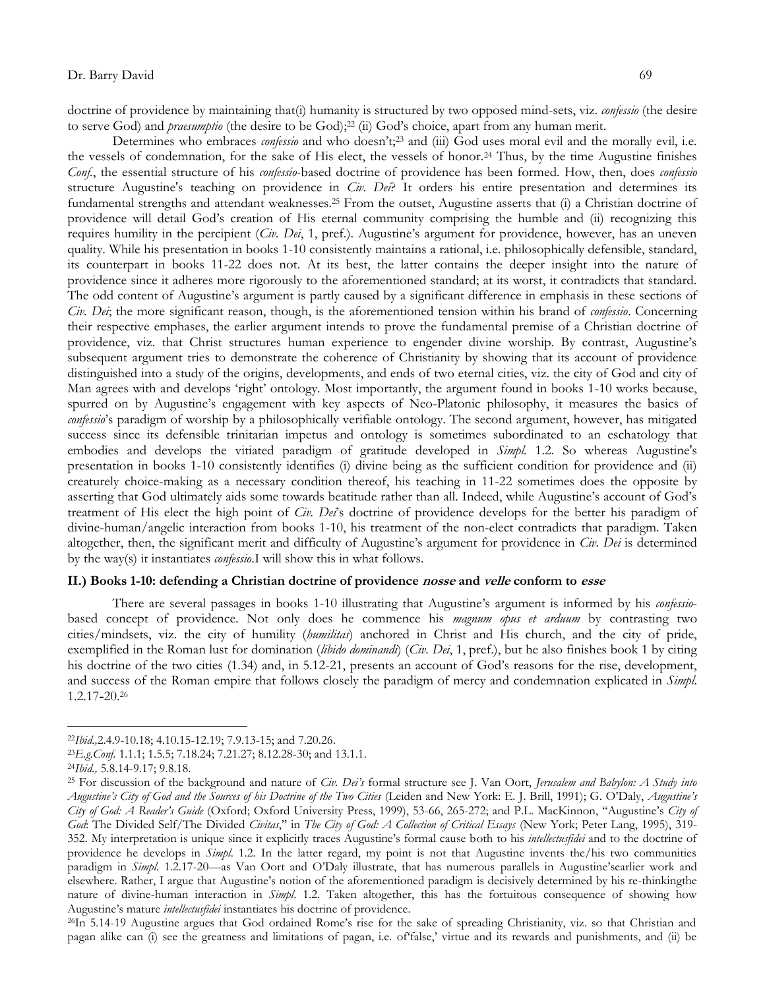doctrine of providence by maintaining that(i) humanity is structured by two opposed mind-sets, viz. *confessio* (the desire to serve God) and *praesumptio* (the desire to be God);<sup>22</sup> (ii) God's choice, apart from any human merit.

Determines who embraces *confessio* and who doesn't;<sup>23</sup> and (iii) God uses moral evil and the morally evil, i.e. the vessels of condemnation, for the sake of His elect, the vessels of honor.<sup>24</sup> Thus, by the time Augustine finishes *Conf.*, the essential structure of his *confessio*-based doctrine of providence has been formed. How, then, does *confessio* structure Augustine's teaching on providence in *Civ. Dei*? It orders his entire presentation and determines its fundamental strengths and attendant weaknesses.<sup>25</sup> From the outset, Augustine asserts that (i) a Christian doctrine of providence will detail God"s creation of His eternal community comprising the humble and (ii) recognizing this requires humility in the percipient (*Civ. Dei*, 1, pref.). Augustine"s argument for providence, however, has an uneven quality. While his presentation in books 1-10 consistently maintains a rational, i.e. philosophically defensible, standard, its counterpart in books 11-22 does not. At its best, the latter contains the deeper insight into the nature of providence since it adheres more rigorously to the aforementioned standard; at its worst, it contradicts that standard. The odd content of Augustine's argument is partly caused by a significant difference in emphasis in these sections of *Civ. Dei*; the more significant reason, though, is the aforementioned tension within his brand of *confessio*. Concerning their respective emphases, the earlier argument intends to prove the fundamental premise of a Christian doctrine of providence, viz. that Christ structures human experience to engender divine worship. By contrast, Augustine"s subsequent argument tries to demonstrate the coherence of Christianity by showing that its account of providence distinguished into a study of the origins, developments, and ends of two eternal cities, viz. the city of God and city of Man agrees with and develops 'right' ontology. Most importantly, the argument found in books 1-10 works because, spurred on by Augustine's engagement with key aspects of Neo-Platonic philosophy, it measures the basics of *confessio*"s paradigm of worship by a philosophically verifiable ontology. The second argument, however, has mitigated success since its defensible trinitarian impetus and ontology is sometimes subordinated to an eschatology that embodies and develops the vitiated paradigm of gratitude developed in *Simpl.* 1.2. So whereas Augustine's presentation in books 1-10 consistently identifies (i) divine being as the sufficient condition for providence and (ii) creaturely choice-making as a necessary condition thereof, his teaching in 11-22 sometimes does the opposite by asserting that God ultimately aids some towards beatitude rather than all. Indeed, while Augustine"s account of God"s treatment of His elect the high point of *Civ. Dei*"s doctrine of providence develops for the better his paradigm of divine-human/angelic interaction from books 1-10, his treatment of the non-elect contradicts that paradigm. Taken altogether, then, the significant merit and difficulty of Augustine"s argument for providence in *Civ. Dei* is determined by the way(s) it instantiates *confessio*.I will show this in what follows.

### **II.) Books 1-10: defending a Christian doctrine of providence nosse and velle conform to esse**

There are several passages in books 1-10 illustrating that Augustine"s argument is informed by his *confessio*based concept of providence. Not only does he commence his *magnum opus et arduum* by contrasting two cities/mindsets, viz. the city of humility (*humilitas*) anchored in Christ and His church, and the city of pride, exemplified in the Roman lust for domination (*libido dominandi*) (*Civ. Dei*, 1, pref.), but he also finishes book 1 by citing his doctrine of the two cities (1.34) and, in 5.12-21, presents an account of God's reasons for the rise, development, and success of the Roman empire that follows closely the paradigm of mercy and condemnation explicated in *Simpl*. 1.2.17**-**20.<sup>26</sup>

<sup>22</sup>*Ibid.,*2.4.9-10.18; 4.10.15-12.19; 7.9.13-15; and 7.20.26.

<sup>23</sup>*E.g.Conf.* 1.1.1; 1.5.5; 7.18.24; 7.21.27; 8.12.28-30; and 13.1.1.

<sup>24</sup>*Ibid.,* 5.8.14-9.17; 9.8.18.

<sup>25</sup> For discussion of the background and nature of *Civ. Dei's* formal structure see J. Van Oort, *Jerusalem and Babylon: A Study into Augustine's City of God and the Sources of his Doctrine of the Two Cities* (Leiden and New York: E. J. Brill, 1991); G. O"Daly, *Augustine's City of God: A Reader's Guide* (Oxford; Oxford University Press, 1999), 53-66, 265-272; and P.L. MacKinnon, "Augustine"s *City of God*: The Divided Self/The Divided *Civitas*," in *The City of God: A Collection of Critical Essays* (New York; Peter Lang, 1995), 319- 352. My interpretation is unique since it explicitly traces Augustine"s formal cause both to his *intellectusfidei* and to the doctrine of providence he develops in *Simpl*. 1.2. In the latter regard, my point is not that Augustine invents the/his two communities paradigm in *Simpl.* 1.2.17-20—as Van Oort and O'Daly illustrate, that has numerous parallels in Augustine'searlier work and elsewhere. Rather, I argue that Augustine"s notion of the aforementioned paradigm is decisively determined by his re-thinkingthe nature of divine-human interaction in *Simpl*. 1.2. Taken altogether, this has the fortuitous consequence of showing how Augustine"s mature *intellectusfidei* instantiates his doctrine of providence.

<sup>&</sup>lt;sup>26</sup>In 5.14-19 Augustine argues that God ordained Rome's rise for the sake of spreading Christianity, viz. so that Christian and pagan alike can (i) see the greatness and limitations of pagan, i.e. of"false," virtue and its rewards and punishments, and (ii) be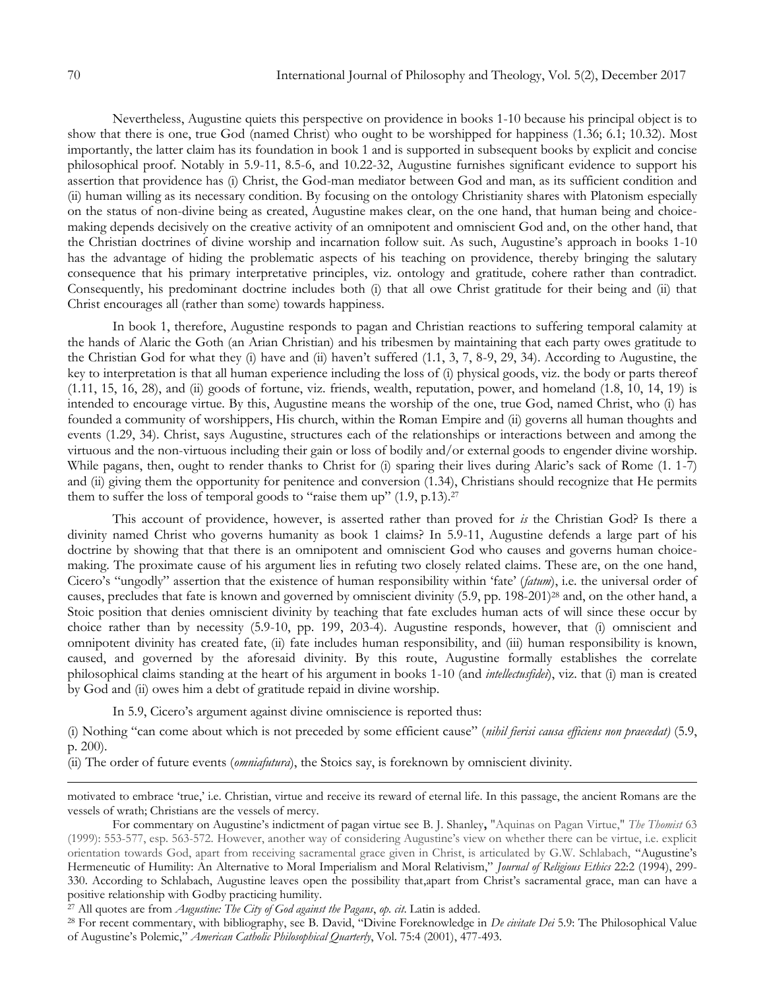Nevertheless, Augustine quiets this perspective on providence in books 1-10 because his principal object is to show that there is one, true God (named Christ) who ought to be worshipped for happiness (1.36; 6.1; 10.32). Most importantly, the latter claim has its foundation in book 1 and is supported in subsequent books by explicit and concise philosophical proof. Notably in 5.9-11, 8.5-6, and 10.22-32, Augustine furnishes significant evidence to support his assertion that providence has (i) Christ, the God-man mediator between God and man, as its sufficient condition and (ii) human willing as its necessary condition. By focusing on the ontology Christianity shares with Platonism especially on the status of non-divine being as created, Augustine makes clear, on the one hand, that human being and choicemaking depends decisively on the creative activity of an omnipotent and omniscient God and, on the other hand, that the Christian doctrines of divine worship and incarnation follow suit. As such, Augustine's approach in books 1-10 has the advantage of hiding the problematic aspects of his teaching on providence, thereby bringing the salutary consequence that his primary interpretative principles, viz. ontology and gratitude, cohere rather than contradict. Consequently, his predominant doctrine includes both (i) that all owe Christ gratitude for their being and (ii) that Christ encourages all (rather than some) towards happiness.

In book 1, therefore, Augustine responds to pagan and Christian reactions to suffering temporal calamity at the hands of Alaric the Goth (an Arian Christian) and his tribesmen by maintaining that each party owes gratitude to the Christian God for what they (i) have and (ii) haven"t suffered (1.1, 3, 7, 8-9, 29, 34). According to Augustine, the key to interpretation is that all human experience including the loss of (i) physical goods, viz. the body or parts thereof (1.11, 15, 16, 28), and (ii) goods of fortune, viz. friends, wealth, reputation, power, and homeland (1.8, 10, 14, 19) is intended to encourage virtue. By this, Augustine means the worship of the one, true God, named Christ, who (i) has founded a community of worshippers, His church, within the Roman Empire and (ii) governs all human thoughts and events (1.29, 34). Christ, says Augustine, structures each of the relationships or interactions between and among the virtuous and the non-virtuous including their gain or loss of bodily and/or external goods to engender divine worship. While pagans, then, ought to render thanks to Christ for (i) sparing their lives during Alaric's sack of Rome (1. 1-7) and (ii) giving them the opportunity for penitence and conversion (1.34), Christians should recognize that He permits them to suffer the loss of temporal goods to "raise them up"  $(1.9, p.13).$ <sup>27</sup>

This account of providence, however, is asserted rather than proved for *is* the Christian God? Is there a divinity named Christ who governs humanity as book 1 claims? In 5.9-11, Augustine defends a large part of his doctrine by showing that that there is an omnipotent and omniscient God who causes and governs human choicemaking. The proximate cause of his argument lies in refuting two closely related claims. These are, on the one hand, Cicero"s "ungodly" assertion that the existence of human responsibility within "fate" (*fatum*), i.e. the universal order of causes, precludes that fate is known and governed by omniscient divinity (5.9, pp. 198-201)<sup>28</sup> and, on the other hand, a Stoic position that denies omniscient divinity by teaching that fate excludes human acts of will since these occur by choice rather than by necessity (5.9-10, pp. 199, 203-4). Augustine responds, however, that (i) omniscient and omnipotent divinity has created fate, (ii) fate includes human responsibility, and (iii) human responsibility is known, caused, and governed by the aforesaid divinity. By this route, Augustine formally establishes the correlate philosophical claims standing at the heart of his argument in books 1-10 (and *intellectusfidei*), viz. that (i) man is created by God and (ii) owes him a debt of gratitude repaid in divine worship.

In 5.9, Cicero's argument against divine omniscience is reported thus:

(i) Nothing "can come about which is not preceded by some efficient cause" (*nihil fierisi causa efficiens non praecedat)* (5.9, p. 200).

(ii) The order of future events (*omniafutura*), the Stoics say, is foreknown by omniscient divinity.

motivated to embrace "true," i.e. Christian, virtue and receive its reward of eternal life. In this passage, the ancient Romans are the vessels of wrath; Christians are the vessels of mercy.

For commentary on Augustine"s indictment of pagan virtue see B. J. Shanley**,** "Aquinas on Pagan Virtue," *The Thomist* 63 (1999): 553-577, esp. 563-572. However, another way of considering Augustine"s view on whether there can be virtue, i.e. explicit orientation towards God, apart from receiving sacramental grace given in Christ, is articulated by G.W. Schlabach, "Augustine"s Hermeneutic of Humility: An Alternative to Moral Imperialism and Moral Relativism," *Journal of Religious Ethics* 22:2 (1994), 299- 330. According to Schlabach, Augustine leaves open the possibility that,apart from Christ"s sacramental grace, man can have a positive relationship with Godby practicing humility.

<sup>27</sup> All quotes are from *Augustine: The City of God against the Pagans*, *op. cit*. Latin is added.

<sup>28</sup> For recent commentary, with bibliography, see B. David, "Divine Foreknowledge in *De civitate Dei* 5.9: The Philosophical Value of Augustine"s Polemic," *American Catholic Philosophical Quarterly*, Vol. 75:4 (2001), 477-493.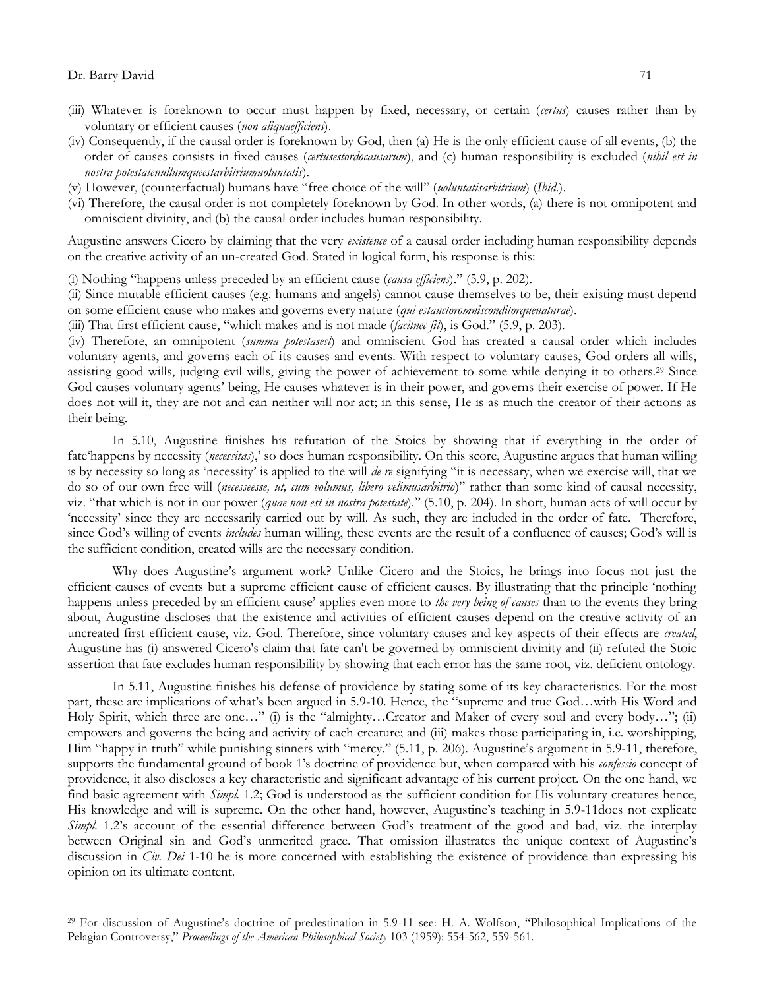$\overline{a}$ 

- (iii) Whatever is foreknown to occur must happen by fixed, necessary, or certain (*certus*) causes rather than by voluntary or efficient causes (*non aliquaefficiens*).
- (iv) Consequently, if the causal order is foreknown by God, then (a) He is the only efficient cause of all events, (b) the order of causes consists in fixed causes (*certusestordocausarum*), and (c) human responsibility is excluded (*nihil est in nostra potestatenullumqueestarbitriumuoluntatis*).
- (v) However, (counterfactual) humans have "free choice of the will" (*uoluntatisarbitrium*) (*Ibid*.).
- (vi) Therefore, the causal order is not completely foreknown by God. In other words, (a) there is not omnipotent and omniscient divinity, and (b) the causal order includes human responsibility.

Augustine answers Cicero by claiming that the very *existence* of a causal order including human responsibility depends on the creative activity of an un-created God. Stated in logical form, his response is this:

(i) Nothing "happens unless preceded by an efficient cause (*causa efficiens*)." (5.9, p. 202).

(ii) Since mutable efficient causes (e.g. humans and angels) cannot cause themselves to be, their existing must depend on some efficient cause who makes and governs every nature (*qui estauctoromnisconditorquenaturae*).

(iii) That first efficient cause, "which makes and is not made (*facitnec fit*), is God." (5.9, p. 203).

(iv) Therefore, an omnipotent (*summa potestasest*) and omniscient God has created a causal order which includes voluntary agents, and governs each of its causes and events. With respect to voluntary causes, God orders all wills, assisting good wills, judging evil wills, giving the power of achievement to some while denying it to others.<sup>29</sup> Since God causes voluntary agents' being, He causes whatever is in their power, and governs their exercise of power. If He does not will it, they are not and can neither will nor act; in this sense, He is as much the creator of their actions as their being.

In 5.10, Augustine finishes his refutation of the Stoics by showing that if everything in the order of fate"happens by necessity (*necessitas*)," so does human responsibility. On this score, Augustine argues that human willing is by necessity so long as "necessity" is applied to the will *de re* signifying "it is necessary, when we exercise will, that we do so of our own free will (*necesseesse, ut, cum volumus, libero velimusarbitrio*)" rather than some kind of causal necessity, viz. "that which is not in our power (*quae non est in nostra potestate*)." (5.10, p. 204). In short, human acts of will occur by "necessity" since they are necessarily carried out by will. As such, they are included in the order of fate. Therefore, since God's willing of events *includes* human willing, these events are the result of a confluence of causes; God's will is the sufficient condition, created wills are the necessary condition.

Why does Augustine"s argument work? Unlike Cicero and the Stoics, he brings into focus not just the efficient causes of events but a supreme efficient cause of efficient causes. By illustrating that the principle "nothing happens unless preceded by an efficient cause" applies even more to *the very being of causes* than to the events they bring about, Augustine discloses that the existence and activities of efficient causes depend on the creative activity of an uncreated first efficient cause, viz. God. Therefore, since voluntary causes and key aspects of their effects are *created*, Augustine has (i) answered Cicero's claim that fate can't be governed by omniscient divinity and (ii) refuted the Stoic assertion that fate excludes human responsibility by showing that each error has the same root, viz. deficient ontology.

In 5.11, Augustine finishes his defense of providence by stating some of its key characteristics. For the most part, these are implications of what"s been argued in 5.9-10. Hence, the "supreme and true God…with His Word and Holy Spirit, which three are one…" (i) is the "almighty…Creator and Maker of every soul and every body…"; (ii) empowers and governs the being and activity of each creature; and (iii) makes those participating in, i.e. worshipping, Him "happy in truth" while punishing sinners with "mercy." (5.11, p. 206). Augustine's argument in 5.9-11, therefore, supports the fundamental ground of book 1"s doctrine of providence but, when compared with his *confessio* concept of providence, it also discloses a key characteristic and significant advantage of his current project. On the one hand, we find basic agreement with *Simpl.* 1.2; God is understood as the sufficient condition for His voluntary creatures hence, His knowledge and will is supreme. On the other hand, however, Augustine's teaching in 5.9-11does not explicate *Simpl.* 1.2's account of the essential difference between God's treatment of the good and bad, viz. the interplay between Original sin and God's unmerited grace. That omission illustrates the unique context of Augustine's discussion in *Civ. Dei* 1-10 he is more concerned with establishing the existence of providence than expressing his opinion on its ultimate content.

<sup>&</sup>lt;sup>29</sup> For discussion of Augustine's doctrine of predestination in 5.9-11 see: H. A. Wolfson, "Philosophical Implications of the Pelagian Controversy," *Proceedings of the American Philosophical Society* 103 (1959): 554-562, 559-561.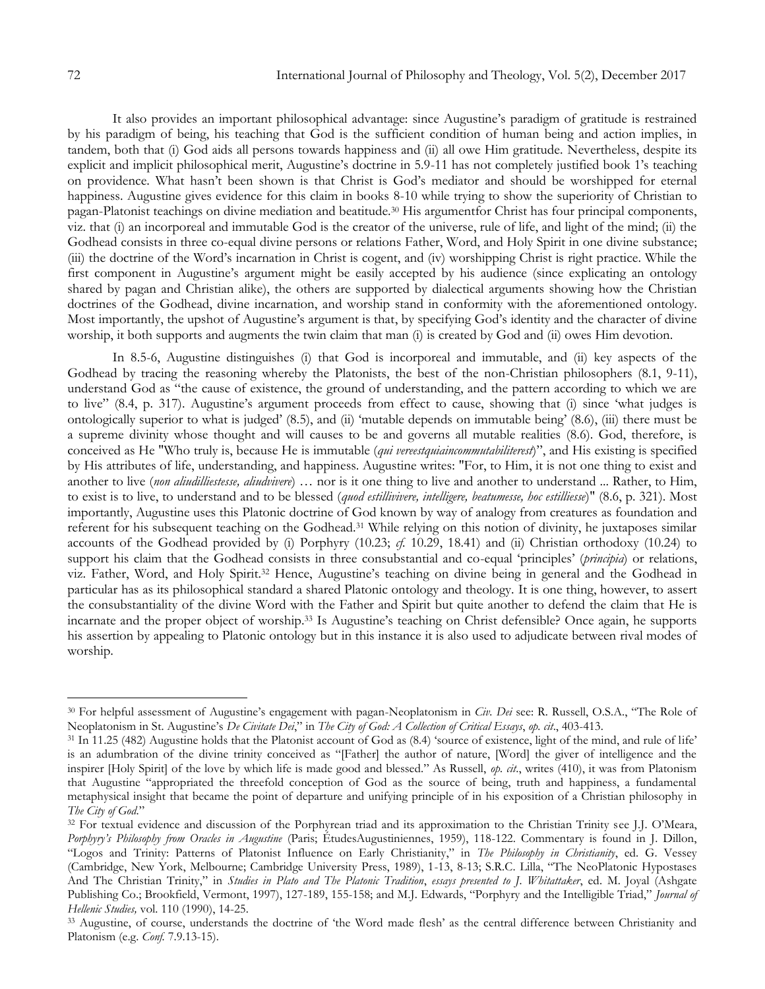It also provides an important philosophical advantage: since Augustine"s paradigm of gratitude is restrained by his paradigm of being, his teaching that God is the sufficient condition of human being and action implies, in tandem, both that (i) God aids all persons towards happiness and (ii) all owe Him gratitude. Nevertheless, despite its explicit and implicit philosophical merit, Augustine's doctrine in 5.9-11 has not completely justified book 1's teaching on providence. What hasn"t been shown is that Christ is God"s mediator and should be worshipped for eternal happiness. Augustine gives evidence for this claim in books 8-10 while trying to show the superiority of Christian to pagan-Platonist teachings on divine mediation and beatitude.<sup>30</sup> His argumentfor Christ has four principal components, viz. that (i) an incorporeal and immutable God is the creator of the universe, rule of life, and light of the mind; (ii) the Godhead consists in three co-equal divine persons or relations Father, Word, and Holy Spirit in one divine substance; (iii) the doctrine of the Word"s incarnation in Christ is cogent, and (iv) worshipping Christ is right practice. While the first component in Augustine's argument might be easily accepted by his audience (since explicating an ontology shared by pagan and Christian alike), the others are supported by dialectical arguments showing how the Christian doctrines of the Godhead, divine incarnation, and worship stand in conformity with the aforementioned ontology. Most importantly, the upshot of Augustine's argument is that, by specifying God's identity and the character of divine worship, it both supports and augments the twin claim that man (i) is created by God and (ii) owes Him devotion.

In 8.5-6, Augustine distinguishes (i) that God is incorporeal and immutable, and (ii) key aspects of the Godhead by tracing the reasoning whereby the Platonists, the best of the non-Christian philosophers (8.1, 9-11), understand God as "the cause of existence, the ground of understanding, and the pattern according to which we are to live" (8.4, p. 317). Augustine's argument proceeds from effect to cause, showing that (i) since 'what judges is ontologically superior to what is judged" (8.5), and (ii) "mutable depends on immutable being" (8.6), (iii) there must be a supreme divinity whose thought and will causes to be and governs all mutable realities (8.6). God, therefore, is conceived as He "Who truly is, because He is immutable (*qui vereestquiaincommutabiliterest*)", and His existing is specified by His attributes of life, understanding, and happiness. Augustine writes: "For, to Him, it is not one thing to exist and another to live (*non aliudilliestesse, aliudvivere*) … nor is it one thing to live and another to understand ... Rather, to Him, to exist is to live, to understand and to be blessed (*quod estillivivere, intelligere, beatumesse, hoc estilliesse*)" (8.6, p. 321). Most importantly, Augustine uses this Platonic doctrine of God known by way of analogy from creatures as foundation and referent for his subsequent teaching on the Godhead.<sup>31</sup> While relying on this notion of divinity, he juxtaposes similar accounts of the Godhead provided by (i) Porphyry (10.23; *cf.* 10.29, 18.41) and (ii) Christian orthodoxy (10.24) to support his claim that the Godhead consists in three consubstantial and co-equal "principles" (*principia*) or relations, viz. Father, Word, and Holy Spirit.<sup>32</sup> Hence, Augustine"s teaching on divine being in general and the Godhead in particular has as its philosophical standard a shared Platonic ontology and theology. It is one thing, however, to assert the consubstantiality of the divine Word with the Father and Spirit but quite another to defend the claim that He is incarnate and the proper object of worship.<sup>33</sup> Is Augustine's teaching on Christ defensible? Once again, he supports his assertion by appealing to Platonic ontology but in this instance it is also used to adjudicate between rival modes of worship.

<sup>30</sup> For helpful assessment of Augustine"s engagement with pagan-Neoplatonism in *Civ. Dei* see: R. Russell, O.S.A., "The Role of Neoplatonism in St. Augustine"s *De Civitate Dei*," in *The City of God: A Collection of Critical Essays*, *op. cit*., 403-413.

<sup>&</sup>lt;sup>31</sup> In 11.25 (482) Augustine holds that the Platonist account of God as (8.4) 'source of existence, light of the mind, and rule of life' is an adumbration of the divine trinity conceived as "[Father] the author of nature, [Word] the giver of intelligence and the inspirer [Holy Spirit] of the love by which life is made good and blessed." As Russell, *op. cit*., writes (410), it was from Platonism that Augustine "appropriated the threefold conception of God as the source of being, truth and happiness, a fundamental metaphysical insight that became the point of departure and unifying principle of in his exposition of a Christian philosophy in *The City of God*."

<sup>&</sup>lt;sup>32</sup> For textual evidence and discussion of the Porphyrean triad and its approximation to the Christian Trinity see J.J. O'Meara, *Porphyry's Philosophy from Oracles in Augustine* (Paris; ÉtudesAugustiniennes, 1959), 118-122. Commentary is found in J. Dillon, "Logos and Trinity: Patterns of Platonist Influence on Early Christianity," in *The Philosophy in Christianity*, ed. G. Vessey (Cambridge, New York, Melbourne; Cambridge University Press, 1989), 1-13, 8-13; S.R.C. Lilla, "The NeoPlatonic Hypostases And The Christian Trinity," in *Studies in Plato and The Platonic Tradition*, *essays presented to J. Whitattaker*, ed. M. Joyal (Ashgate Publishing Co.; Brookfield, Vermont, 1997), 127-189, 155-158; and M.J. Edwards, "Porphyry and the Intelligible Triad," *Journal of Hellenic Studies,* vol. 110 (1990), 14-25.

<sup>33</sup> Augustine, of course, understands the doctrine of "the Word made flesh" as the central difference between Christianity and Platonism (e.g. *Conf.* 7.9.13-15).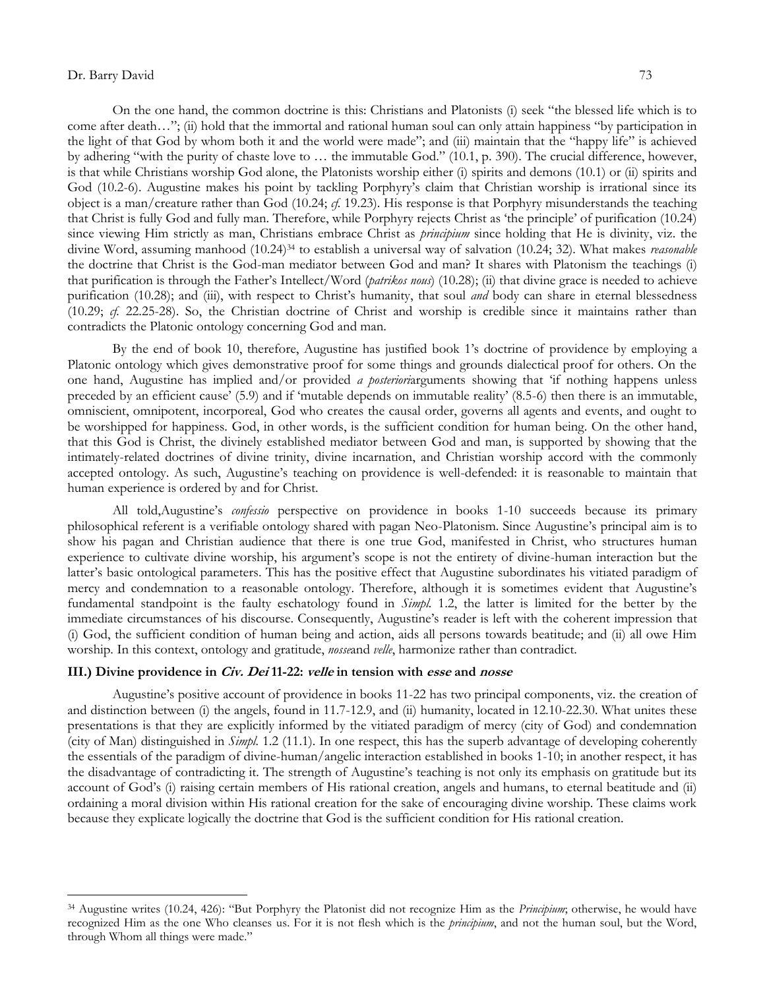$\overline{a}$ 

On the one hand, the common doctrine is this: Christians and Platonists (i) seek "the blessed life which is to come after death…"; (ii) hold that the immortal and rational human soul can only attain happiness "by participation in the light of that God by whom both it and the world were made"; and (iii) maintain that the "happy life" is achieved by adhering "with the purity of chaste love to … the immutable God." (10.1, p. 390). The crucial difference, however, is that while Christians worship God alone, the Platonists worship either (i) spirits and demons (10.1) or (ii) spirits and God (10.2-6). Augustine makes his point by tackling Porphyry's claim that Christian worship is irrational since its object is a man/creature rather than God (10.24; *cf.* 19.23). His response is that Porphyry misunderstands the teaching that Christ is fully God and fully man. Therefore, while Porphyry rejects Christ as "the principle" of purification (10.24) since viewing Him strictly as man, Christians embrace Christ as *principium* since holding that He is divinity, viz. the divine Word, assuming manhood (10.24)<sup>34</sup> to establish a universal way of salvation (10.24; 32). What makes *reasonable*  the doctrine that Christ is the God-man mediator between God and man? It shares with Platonism the teachings (i) that purification is through the Father"s Intellect/Word (*patrikos nous*) (10.28); (ii) that divine grace is needed to achieve purification (10.28); and (iii), with respect to Christ"s humanity, that soul *and* body can share in eternal blessedness (10.29; *cf.* 22.25-28). So, the Christian doctrine of Christ and worship is credible since it maintains rather than contradicts the Platonic ontology concerning God and man.

By the end of book 10, therefore, Augustine has justified book 1"s doctrine of providence by employing a Platonic ontology which gives demonstrative proof for some things and grounds dialectical proof for others. On the one hand, Augustine has implied and/or provided *a posteriori*arguments showing that "if nothing happens unless preceded by an efficient cause" (5.9) and if "mutable depends on immutable reality" (8.5-6) then there is an immutable, omniscient, omnipotent, incorporeal, God who creates the causal order, governs all agents and events, and ought to be worshipped for happiness. God, in other words, is the sufficient condition for human being. On the other hand, that this God is Christ, the divinely established mediator between God and man, is supported by showing that the intimately-related doctrines of divine trinity, divine incarnation, and Christian worship accord with the commonly accepted ontology. As such, Augustine"s teaching on providence is well-defended: it is reasonable to maintain that human experience is ordered by and for Christ.

All told,Augustine"s *confessio* perspective on providence in books 1-10 succeeds because its primary philosophical referent is a verifiable ontology shared with pagan Neo-Platonism. Since Augustine"s principal aim is to show his pagan and Christian audience that there is one true God, manifested in Christ, who structures human experience to cultivate divine worship, his argument"s scope is not the entirety of divine-human interaction but the latter"s basic ontological parameters. This has the positive effect that Augustine subordinates his vitiated paradigm of mercy and condemnation to a reasonable ontology. Therefore, although it is sometimes evident that Augustine"s fundamental standpoint is the faulty eschatology found in *Simpl.* 1.2, the latter is limited for the better by the immediate circumstances of his discourse. Consequently, Augustine's reader is left with the coherent impression that (i) God, the sufficient condition of human being and action, aids all persons towards beatitude; and (ii) all owe Him worship. In this context, ontology and gratitude, *nosse*and *velle*, harmonize rather than contradict.

### **III.) Divine providence in Civ. Dei 11-22: velle in tension with esse and nosse**

Augustine"s positive account of providence in books 11-22 has two principal components, viz. the creation of and distinction between (i) the angels, found in 11.7-12.9, and (ii) humanity, located in 12.10-22.30. What unites these presentations is that they are explicitly informed by the vitiated paradigm of mercy (city of God) and condemnation (city of Man) distinguished in *Simpl.* 1.2 (11.1). In one respect, this has the superb advantage of developing coherently the essentials of the paradigm of divine-human/angelic interaction established in books 1-10; in another respect, it has the disadvantage of contradicting it. The strength of Augustine"s teaching is not only its emphasis on gratitude but its account of God"s (i) raising certain members of His rational creation, angels and humans, to eternal beatitude and (ii) ordaining a moral division within His rational creation for the sake of encouraging divine worship. These claims work because they explicate logically the doctrine that God is the sufficient condition for His rational creation.

<sup>34</sup> Augustine writes (10.24, 426): "But Porphyry the Platonist did not recognize Him as the *Principium*; otherwise, he would have recognized Him as the one Who cleanses us. For it is not flesh which is the *principium*, and not the human soul, but the Word, through Whom all things were made."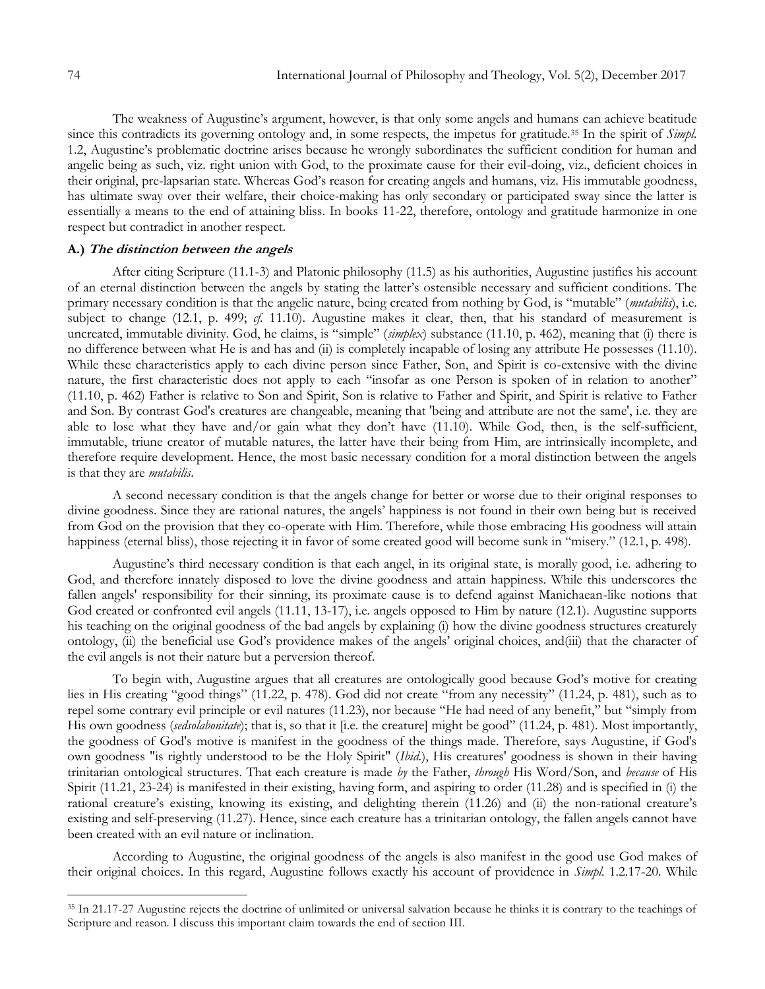The weakness of Augustine's argument, however, is that only some angels and humans can achieve beatitude since this contradicts its governing ontology and, in some respects, the impetus for gratitude.<sup>35</sup> In the spirit of *Simpl.* 1.2, Augustine"s problematic doctrine arises because he wrongly subordinates the sufficient condition for human and angelic being as such, viz. right union with God, to the proximate cause for their evil-doing, viz., deficient choices in their original, pre-lapsarian state. Whereas God"s reason for creating angels and humans, viz. His immutable goodness, has ultimate sway over their welfare, their choice-making has only secondary or participated sway since the latter is essentially a means to the end of attaining bliss. In books 11-22, therefore, ontology and gratitude harmonize in one respect but contradict in another respect.

# **A.) The distinction between the angels**

After citing Scripture (11.1-3) and Platonic philosophy (11.5) as his authorities, Augustine justifies his account of an eternal distinction between the angels by stating the latter"s ostensible necessary and sufficient conditions. The primary necessary condition is that the angelic nature, being created from nothing by God, is "mutable" (*mutabilis*), i.e. subject to change (12.1, p. 499;  $cf.$  11.10). Augustine makes it clear, then, that his standard of measurement is uncreated, immutable divinity. God, he claims, is "simple" (*simplex*) substance (11.10, p. 462), meaning that (i) there is no difference between what He is and has and (ii) is completely incapable of losing any attribute He possesses (11.10). While these characteristics apply to each divine person since Father, Son, and Spirit is co-extensive with the divine nature, the first characteristic does not apply to each "insofar as one Person is spoken of in relation to another" (11.10, p. 462) Father is relative to Son and Spirit, Son is relative to Father and Spirit, and Spirit is relative to Father and Son. By contrast God's creatures are changeable, meaning that 'being and attribute are not the same', i.e. they are able to lose what they have and/or gain what they don't have (11.10). While God, then, is the self-sufficient, immutable, triune creator of mutable natures, the latter have their being from Him, are intrinsically incomplete, and therefore require development. Hence, the most basic necessary condition for a moral distinction between the angels is that they are *mutabilis*.

A second necessary condition is that the angels change for better or worse due to their original responses to divine goodness. Since they are rational natures, the angels" happiness is not found in their own being but is received from God on the provision that they co-operate with Him. Therefore, while those embracing His goodness will attain happiness (eternal bliss), those rejecting it in favor of some created good will become sunk in "misery." (12.1, p. 498).

Augustine"s third necessary condition is that each angel, in its original state, is morally good, i.e. adhering to God, and therefore innately disposed to love the divine goodness and attain happiness. While this underscores the fallen angels' responsibility for their sinning, its proximate cause is to defend against Manichaean-like notions that God created or confronted evil angels (11.11, 13-17), i.e. angels opposed to Him by nature (12.1). Augustine supports his teaching on the original goodness of the bad angels by explaining (i) how the divine goodness structures creaturely ontology, (ii) the beneficial use God"s providence makes of the angels" original choices, and(iii) that the character of the evil angels is not their nature but a perversion thereof.

To begin with, Augustine argues that all creatures are ontologically good because God"s motive for creating lies in His creating "good things" (11.22, p. 478). God did not create "from any necessity" (11.24, p. 481), such as to repel some contrary evil principle or evil natures (11.23), nor because "He had need of any benefit," but "simply from His own goodness (*sedsolabonitate*); that is, so that it [i.e. the creature] might be good" (11.24, p. 481). Most importantly, the goodness of God's motive is manifest in the goodness of the things made. Therefore, says Augustine, if God's own goodness "is rightly understood to be the Holy Spirit" (*Ibid*.), His creatures' goodness is shown in their having trinitarian ontological structures. That each creature is made *by* the Father, *through* His Word/Son, and *because* of His Spirit (11.21, 23-24) is manifested in their existing, having form, and aspiring to order (11.28) and is specified in (i) the rational creature's existing, knowing its existing, and delighting therein (11.26) and (ii) the non-rational creature's existing and self-preserving (11.27). Hence, since each creature has a trinitarian ontology, the fallen angels cannot have been created with an evil nature or inclination.

According to Augustine, the original goodness of the angels is also manifest in the good use God makes of their original choices. In this regard, Augustine follows exactly his account of providence in *Simpl.* 1.2.17-20. While

<sup>35</sup> In 21.17-27 Augustine rejects the doctrine of unlimited or universal salvation because he thinks it is contrary to the teachings of Scripture and reason. I discuss this important claim towards the end of section III.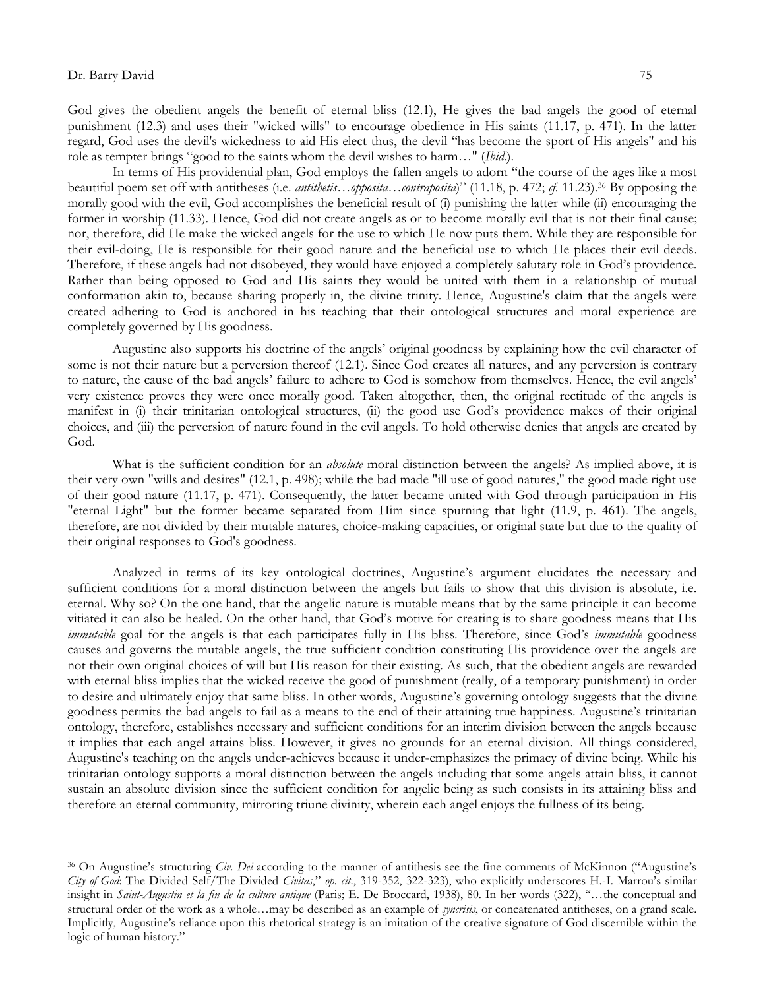$\overline{a}$ 

God gives the obedient angels the benefit of eternal bliss (12.1), He gives the bad angels the good of eternal punishment (12.3) and uses their "wicked wills" to encourage obedience in His saints (11.17, p. 471). In the latter regard, God uses the devil's wickedness to aid His elect thus, the devil "has become the sport of His angels" and his role as tempter brings "good to the saints whom the devil wishes to harm…" (*Ibid*.).

In terms of His providential plan, God employs the fallen angels to adorn "the course of the ages like a most beautiful poem set off with antitheses (i.e. *antithetis*…*opposita*…*contraposita*)" (11.18, p. 472; *cf.* 11.23).<sup>36</sup> By opposing the morally good with the evil, God accomplishes the beneficial result of (i) punishing the latter while (ii) encouraging the former in worship (11.33). Hence, God did not create angels as or to become morally evil that is not their final cause; nor, therefore, did He make the wicked angels for the use to which He now puts them. While they are responsible for their evil-doing, He is responsible for their good nature and the beneficial use to which He places their evil deeds. Therefore, if these angels had not disobeyed, they would have enjoyed a completely salutary role in God"s providence. Rather than being opposed to God and His saints they would be united with them in a relationship of mutual conformation akin to, because sharing properly in, the divine trinity. Hence, Augustine's claim that the angels were created adhering to God is anchored in his teaching that their ontological structures and moral experience are completely governed by His goodness.

Augustine also supports his doctrine of the angels" original goodness by explaining how the evil character of some is not their nature but a perversion thereof (12.1). Since God creates all natures, and any perversion is contrary to nature, the cause of the bad angels" failure to adhere to God is somehow from themselves. Hence, the evil angels" very existence proves they were once morally good. Taken altogether, then, the original rectitude of the angels is manifest in (i) their trinitarian ontological structures, (ii) the good use God"s providence makes of their original choices, and (iii) the perversion of nature found in the evil angels. To hold otherwise denies that angels are created by God.

What is the sufficient condition for an *absolute* moral distinction between the angels? As implied above, it is their very own "wills and desires" (12.1, p. 498); while the bad made "ill use of good natures," the good made right use of their good nature (11.17, p. 471). Consequently, the latter became united with God through participation in His "eternal Light" but the former became separated from Him since spurning that light (11.9, p. 461). The angels, therefore, are not divided by their mutable natures, choice-making capacities, or original state but due to the quality of their original responses to God's goodness.

Analyzed in terms of its key ontological doctrines, Augustine"s argument elucidates the necessary and sufficient conditions for a moral distinction between the angels but fails to show that this division is absolute, i.e. eternal. Why so? On the one hand, that the angelic nature is mutable means that by the same principle it can become vitiated it can also be healed. On the other hand, that God"s motive for creating is to share goodness means that His *immutable* goal for the angels is that each participates fully in His bliss. Therefore, since God's *immutable* goodness causes and governs the mutable angels, the true sufficient condition constituting His providence over the angels are not their own original choices of will but His reason for their existing. As such, that the obedient angels are rewarded with eternal bliss implies that the wicked receive the good of punishment (really, of a temporary punishment) in order to desire and ultimately enjoy that same bliss. In other words, Augustine"s governing ontology suggests that the divine goodness permits the bad angels to fail as a means to the end of their attaining true happiness. Augustine"s trinitarian ontology, therefore, establishes necessary and sufficient conditions for an interim division between the angels because it implies that each angel attains bliss. However, it gives no grounds for an eternal division. All things considered, Augustine's teaching on the angels under-achieves because it under-emphasizes the primacy of divine being. While his trinitarian ontology supports a moral distinction between the angels including that some angels attain bliss, it cannot sustain an absolute division since the sufficient condition for angelic being as such consists in its attaining bliss and therefore an eternal community, mirroring triune divinity, wherein each angel enjoys the fullness of its being.

<sup>&</sup>lt;sup>36</sup> On Augustine's structuring *Civ. Dei* according to the manner of antithesis see the fine comments of McKinnon ("Augustine's *City of God*: The Divided Self/The Divided *Civitas*," *op. cit*., 319-352, 322-323), who explicitly underscores H.-I. Marrou"s similar insight in *Saint-Augustin et la fin de la culture antique* (Paris; E. De Broccard, 1938), 80. In her words (322), "…the conceptual and structural order of the work as a whole…may be described as an example of *syncrisis*, or concatenated antitheses, on a grand scale. Implicitly, Augustine's reliance upon this rhetorical strategy is an imitation of the creative signature of God discernible within the logic of human history."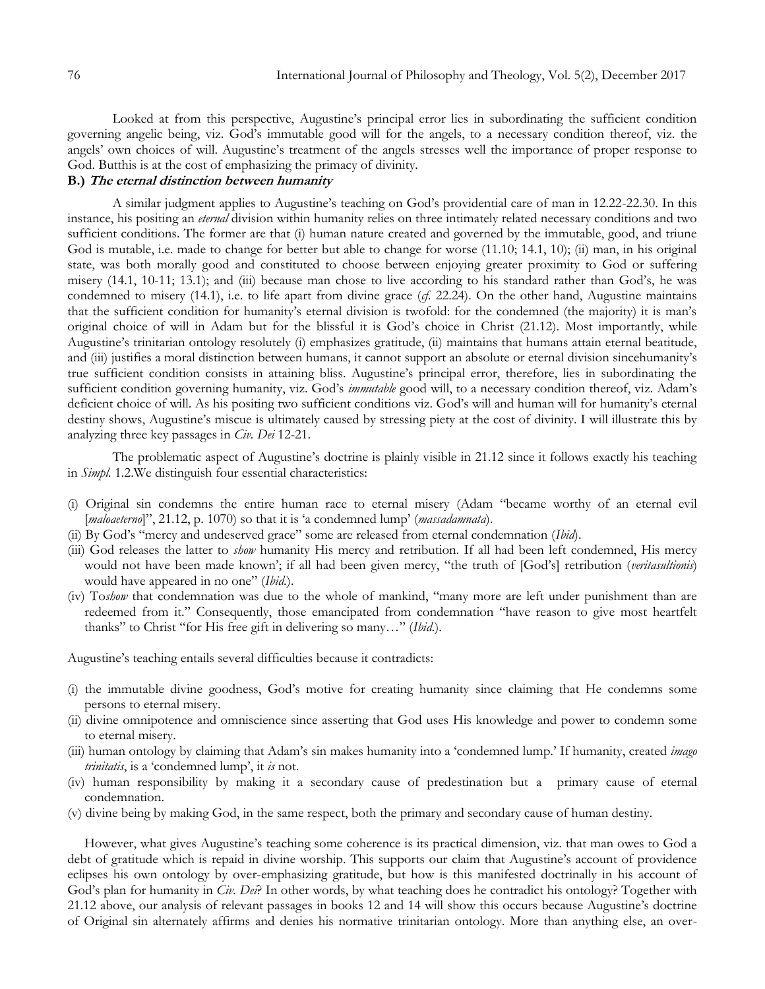Looked at from this perspective, Augustine"s principal error lies in subordinating the sufficient condition governing angelic being, viz. God"s immutable good will for the angels, to a necessary condition thereof, viz. the angels' own choices of will. Augustine's treatment of the angels stresses well the importance of proper response to God. Butthis is at the cost of emphasizing the primacy of divinity.

# **B.) The eternal distinction between humanity**

A similar judgment applies to Augustine"s teaching on God"s providential care of man in 12.22-22.30. In this instance, his positing an *eternal* division within humanity relies on three intimately related necessary conditions and two sufficient conditions. The former are that (i) human nature created and governed by the immutable, good, and triune God is mutable, i.e. made to change for better but able to change for worse (11.10; 14.1, 10); (ii) man, in his original state, was both morally good and constituted to choose between enjoying greater proximity to God or suffering misery (14.1, 10-11; 13.1); and (iii) because man chose to live according to his standard rather than God's, he was condemned to misery (14.1), i.e. to life apart from divine grace (*cf*. 22.24). On the other hand, Augustine maintains that the sufficient condition for humanity's eternal division is twofold: for the condemned (the majority) it is man's original choice of will in Adam but for the blissful it is God"s choice in Christ (21.12). Most importantly, while Augustine"s trinitarian ontology resolutely (i) emphasizes gratitude, (ii) maintains that humans attain eternal beatitude, and (iii) justifies a moral distinction between humans, it cannot support an absolute or eternal division sincehumanity's true sufficient condition consists in attaining bliss. Augustine"s principal error, therefore, lies in subordinating the sufficient condition governing humanity, viz. God's *immutable* good will, to a necessary condition thereof, viz. Adam's deficient choice of will. As his positing two sufficient conditions viz. God's will and human will for humanity's eternal destiny shows, Augustine"s miscue is ultimately caused by stressing piety at the cost of divinity. I will illustrate this by analyzing three key passages in *Civ. Dei* 12-21.

The problematic aspect of Augustine's doctrine is plainly visible in 21.12 since it follows exactly his teaching in *Simpl.* 1.2.We distinguish four essential characteristics:

- (i) Original sin condemns the entire human race to eternal misery (Adam "became worthy of an eternal evil [*maloaeterno*]", 21.12, p. 1070) so that it is "a condemned lump" (*massadamnata*).
- (ii) By God"s "mercy and undeserved grace" some are released from eternal condemnation (*Ibid*).
- (iii) God releases the latter to *show* humanity His mercy and retribution. If all had been left condemned, His mercy would not have been made known"; if all had been given mercy, "the truth of [God"s] retribution (*veritasultionis*) would have appeared in no one" (*Ibid.*).
- (iv) To*show* that condemnation was due to the whole of mankind, "many more are left under punishment than are redeemed from it." Consequently, those emancipated from condemnation "have reason to give most heartfelt thanks" to Christ "for His free gift in delivering so many…" (*Ibid*.).

Augustine's teaching entails several difficulties because it contradicts:

- (i) the immutable divine goodness, God"s motive for creating humanity since claiming that He condemns some persons to eternal misery.
- (ii) divine omnipotence and omniscience since asserting that God uses His knowledge and power to condemn some to eternal misery.
- (iii) human ontology by claiming that Adam"s sin makes humanity into a "condemned lump." If humanity, created *imago trinitatis*, is a "condemned lump", it *is* not.
- (iv) human responsibility by making it a secondary cause of predestination but a primary cause of eternal condemnation.
- (v) divine being by making God, in the same respect, both the primary and secondary cause of human destiny.

However, what gives Augustine"s teaching some coherence is its practical dimension, viz. that man owes to God a debt of gratitude which is repaid in divine worship. This supports our claim that Augustine's account of providence eclipses his own ontology by over-emphasizing gratitude, but how is this manifested doctrinally in his account of God's plan for humanity in *Civ. Dei*? In other words, by what teaching does he contradict his ontology? Together with 21.12 above, our analysis of relevant passages in books 12 and 14 will show this occurs because Augustine"s doctrine of Original sin alternately affirms and denies his normative trinitarian ontology. More than anything else, an over-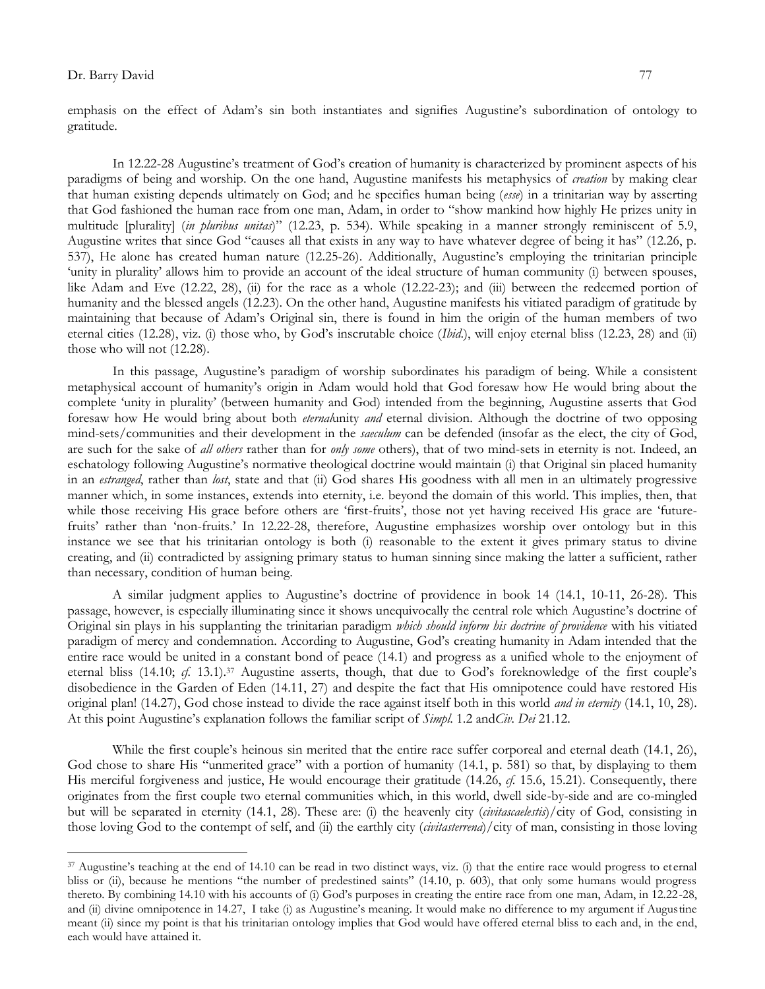$\overline{a}$ 

emphasis on the effect of Adam"s sin both instantiates and signifies Augustine"s subordination of ontology to gratitude.

In 12.22-28 Augustine"s treatment of God"s creation of humanity is characterized by prominent aspects of his paradigms of being and worship. On the one hand, Augustine manifests his metaphysics of *creation* by making clear that human existing depends ultimately on God; and he specifies human being (*esse*) in a trinitarian way by asserting that God fashioned the human race from one man, Adam, in order to "show mankind how highly He prizes unity in multitude [plurality] (*in pluribus unitas*)" (12.23, p. 534). While speaking in a manner strongly reminiscent of 5.9, Augustine writes that since God "causes all that exists in any way to have whatever degree of being it has" (12.26, p. 537), He alone has created human nature (12.25-26). Additionally, Augustine"s employing the trinitarian principle "unity in plurality" allows him to provide an account of the ideal structure of human community (i) between spouses, like Adam and Eve (12.22, 28), (ii) for the race as a whole (12.22-23); and (iii) between the redeemed portion of humanity and the blessed angels (12.23). On the other hand, Augustine manifests his vitiated paradigm of gratitude by maintaining that because of Adam"s Original sin, there is found in him the origin of the human members of two eternal cities (12.28), viz. (i) those who, by God's inscrutable choice (*Ibid*.), will enjoy eternal bliss (12.23, 28) and (ii) those who will not (12.28).

In this passage, Augustine"s paradigm of worship subordinates his paradigm of being. While a consistent metaphysical account of humanity"s origin in Adam would hold that God foresaw how He would bring about the complete "unity in plurality" (between humanity and God) intended from the beginning, Augustine asserts that God foresaw how He would bring about both *eternal*unity *and* eternal division. Although the doctrine of two opposing mind-sets/communities and their development in the *saeculum* can be defended (insofar as the elect, the city of God, are such for the sake of *all others* rather than for *only some* others), that of two mind-sets in eternity is not. Indeed, an eschatology following Augustine"s normative theological doctrine would maintain (i) that Original sin placed humanity in an *estranged*, rather than *lost*, state and that (ii) God shares His goodness with all men in an ultimately progressive manner which, in some instances, extends into eternity, i.e. beyond the domain of this world. This implies, then, that while those receiving His grace before others are 'first-fruits', those not yet having received His grace are 'futurefruits" rather than "non-fruits." In 12.22-28, therefore, Augustine emphasizes worship over ontology but in this instance we see that his trinitarian ontology is both (i) reasonable to the extent it gives primary status to divine creating, and (ii) contradicted by assigning primary status to human sinning since making the latter a sufficient, rather than necessary, condition of human being.

A similar judgment applies to Augustine's doctrine of providence in book 14 (14.1, 10-11, 26-28). This passage, however, is especially illuminating since it shows unequivocally the central role which Augustine's doctrine of Original sin plays in his supplanting the trinitarian paradigm *which should inform his doctrine of providence* with his vitiated paradigm of mercy and condemnation. According to Augustine, God"s creating humanity in Adam intended that the entire race would be united in a constant bond of peace (14.1) and progress as a unified whole to the enjoyment of eternal bliss (14.10; *cf.* 13.1).<sup>37</sup> Augustine asserts, though, that due to God's foreknowledge of the first couple's disobedience in the Garden of Eden (14.11, 27) and despite the fact that His omnipotence could have restored His original plan! (14.27), God chose instead to divide the race against itself both in this world *and in eternity* (14.1, 10, 28). At this point Augustine"s explanation follows the familiar script of *Simpl*. 1.2 and*Civ. Dei* 21.12.

While the first couple's heinous sin merited that the entire race suffer corporeal and eternal death (14.1, 26), God chose to share His "unmerited grace" with a portion of humanity (14.1, p. 581) so that, by displaying to them His merciful forgiveness and justice, He would encourage their gratitude (14.26, *cf.* 15.6, 15.21). Consequently, there originates from the first couple two eternal communities which, in this world, dwell side-by-side and are co-mingled but will be separated in eternity (14.1, 28). These are: (i) the heavenly city (*civitascaelestis*)/city of God, consisting in those loving God to the contempt of self, and (ii) the earthly city (*civitasterrena*)/city of man, consisting in those loving

<sup>&</sup>lt;sup>37</sup> Augustine's teaching at the end of 14.10 can be read in two distinct ways, viz. (i) that the entire race would progress to eternal bliss or (ii), because he mentions "the number of predestined saints" (14.10, p. 603), that only some humans would progress thereto. By combining 14.10 with his accounts of (i) God"s purposes in creating the entire race from one man, Adam, in 12.22-28, and (ii) divine omnipotence in 14.27, I take (i) as Augustine's meaning. It would make no difference to my argument if Augustine meant (ii) since my point is that his trinitarian ontology implies that God would have offered eternal bliss to each and, in the end, each would have attained it.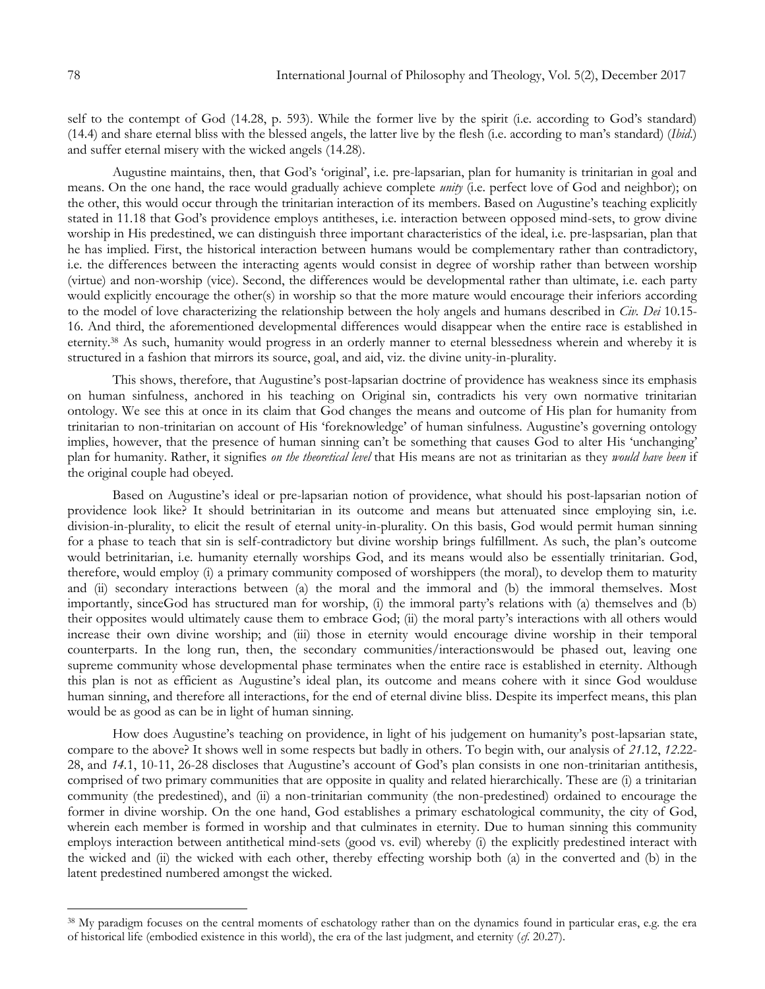self to the contempt of God (14.28, p. 593). While the former live by the spirit (i.e. according to God's standard) (14.4) and share eternal bliss with the blessed angels, the latter live by the flesh (i.e. according to man"s standard) (*Ibid*.) and suffer eternal misery with the wicked angels (14.28).

Augustine maintains, then, that God"s "original", i.e. pre-lapsarian, plan for humanity is trinitarian in goal and means. On the one hand, the race would gradually achieve complete *unity* (i.e. perfect love of God and neighbor); on the other, this would occur through the trinitarian interaction of its members. Based on Augustine's teaching explicitly stated in 11.18 that God"s providence employs antitheses, i.e. interaction between opposed mind-sets, to grow divine worship in His predestined, we can distinguish three important characteristics of the ideal, i.e. pre-laspsarian, plan that he has implied. First, the historical interaction between humans would be complementary rather than contradictory, i.e. the differences between the interacting agents would consist in degree of worship rather than between worship (virtue) and non-worship (vice). Second, the differences would be developmental rather than ultimate, i.e. each party would explicitly encourage the other(s) in worship so that the more mature would encourage their inferiors according to the model of love characterizing the relationship between the holy angels and humans described in *Civ. Dei* 10.15- 16. And third, the aforementioned developmental differences would disappear when the entire race is established in eternity.<sup>38</sup> As such, humanity would progress in an orderly manner to eternal blessedness wherein and whereby it is structured in a fashion that mirrors its source, goal, and aid, viz. the divine unity-in-plurality.

This shows, therefore, that Augustine"s post-lapsarian doctrine of providence has weakness since its emphasis on human sinfulness, anchored in his teaching on Original sin, contradicts his very own normative trinitarian ontology. We see this at once in its claim that God changes the means and outcome of His plan for humanity from trinitarian to non-trinitarian on account of His "foreknowledge" of human sinfulness. Augustine"s governing ontology implies, however, that the presence of human sinning can't be something that causes God to alter His 'unchanging' plan for humanity. Rather, it signifies *on the theoretical level* that His means are not as trinitarian as they *would have been* if the original couple had obeyed.

Based on Augustine"s ideal or pre-lapsarian notion of providence, what should his post-lapsarian notion of providence look like? It should betrinitarian in its outcome and means but attenuated since employing sin, i.e. division-in-plurality, to elicit the result of eternal unity-in-plurality. On this basis, God would permit human sinning for a phase to teach that sin is self-contradictory but divine worship brings fulfillment. As such, the plan"s outcome would betrinitarian, i.e. humanity eternally worships God, and its means would also be essentially trinitarian. God, therefore, would employ (i) a primary community composed of worshippers (the moral), to develop them to maturity and (ii) secondary interactions between (a) the moral and the immoral and (b) the immoral themselves. Most importantly, sinceGod has structured man for worship, (i) the immoral party"s relations with (a) themselves and (b) their opposites would ultimately cause them to embrace God; (ii) the moral party"s interactions with all others would increase their own divine worship; and (iii) those in eternity would encourage divine worship in their temporal counterparts. In the long run, then, the secondary communities/interactionswould be phased out, leaving one supreme community whose developmental phase terminates when the entire race is established in eternity. Although this plan is not as efficient as Augustine"s ideal plan, its outcome and means cohere with it since God woulduse human sinning, and therefore all interactions, for the end of eternal divine bliss. Despite its imperfect means, this plan would be as good as can be in light of human sinning.

How does Augustine"s teaching on providence, in light of his judgement on humanity"s post-lapsarian state, compare to the above? It shows well in some respects but badly in others. To begin with, our analysis of *21*.12, *12*.22- 28, and *14.*1, 10-11, 26-28 discloses that Augustine"s account of God"s plan consists in one non-trinitarian antithesis, comprised of two primary communities that are opposite in quality and related hierarchically. These are (i) a trinitarian community (the predestined), and (ii) a non-trinitarian community (the non-predestined) ordained to encourage the former in divine worship. On the one hand, God establishes a primary eschatological community, the city of God, wherein each member is formed in worship and that culminates in eternity. Due to human sinning this community employs interaction between antithetical mind-sets (good vs. evil) whereby (i) the explicitly predestined interact with the wicked and (ii) the wicked with each other, thereby effecting worship both (a) in the converted and (b) in the latent predestined numbered amongst the wicked.

<sup>38</sup> My paradigm focuses on the central moments of eschatology rather than on the dynamics found in particular eras, e.g. the era of historical life (embodied existence in this world), the era of the last judgment, and eternity (*cf*. 20.27).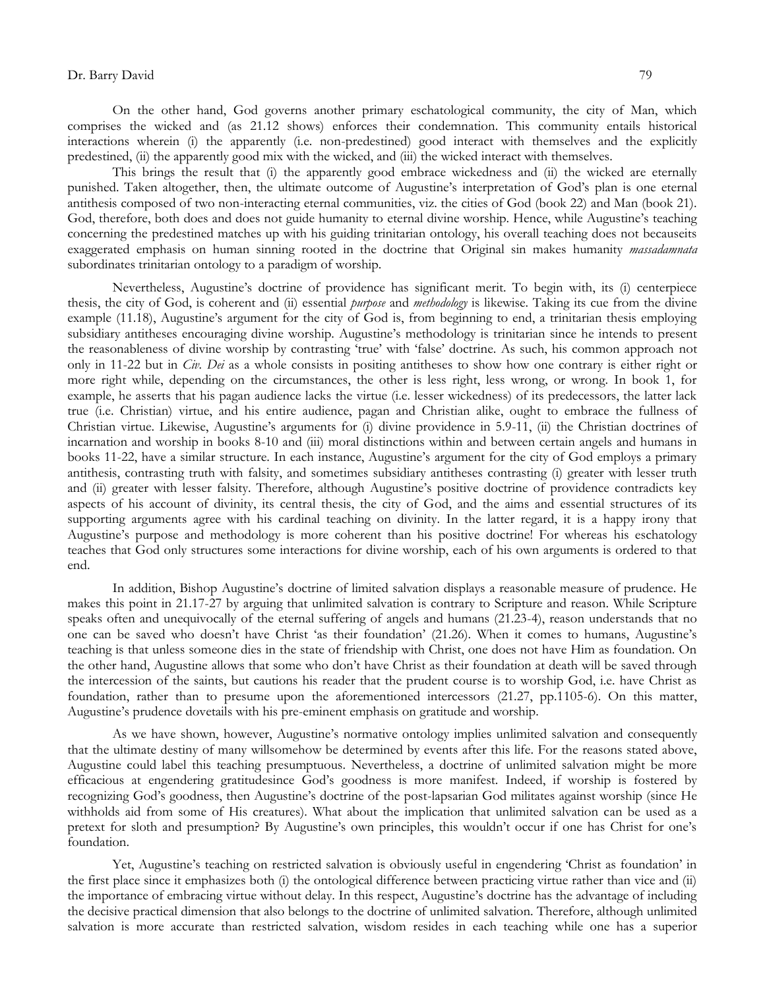On the other hand, God governs another primary eschatological community, the city of Man, which comprises the wicked and (as 21.12 shows) enforces their condemnation. This community entails historical interactions wherein (i) the apparently (i.e. non-predestined) good interact with themselves and the explicitly predestined, (ii) the apparently good mix with the wicked, and (iii) the wicked interact with themselves.

This brings the result that (i) the apparently good embrace wickedness and (ii) the wicked are eternally punished. Taken altogether, then, the ultimate outcome of Augustine"s interpretation of God"s plan is one eternal antithesis composed of two non-interacting eternal communities, viz. the cities of God (book 22) and Man (book 21). God, therefore, both does and does not guide humanity to eternal divine worship. Hence, while Augustine's teaching concerning the predestined matches up with his guiding trinitarian ontology, his overall teaching does not becauseits exaggerated emphasis on human sinning rooted in the doctrine that Original sin makes humanity *massadamnata* subordinates trinitarian ontology to a paradigm of worship.

Nevertheless, Augustine"s doctrine of providence has significant merit. To begin with, its (i) centerpiece thesis, the city of God, is coherent and (ii) essential *purpose* and *methodology* is likewise. Taking its cue from the divine example (11.18), Augustine's argument for the city of God is, from beginning to end, a trinitarian thesis employing subsidiary antitheses encouraging divine worship. Augustine's methodology is trinitarian since he intends to present the reasonableness of divine worship by contrasting "true" with "false" doctrine. As such, his common approach not only in 11-22 but in *Civ. Dei* as a whole consists in positing antitheses to show how one contrary is either right or more right while, depending on the circumstances, the other is less right, less wrong, or wrong. In book 1, for example, he asserts that his pagan audience lacks the virtue (i.e. lesser wickedness) of its predecessors, the latter lack true (i.e. Christian) virtue, and his entire audience, pagan and Christian alike, ought to embrace the fullness of Christian virtue. Likewise, Augustine"s arguments for (i) divine providence in 5.9-11, (ii) the Christian doctrines of incarnation and worship in books 8-10 and (iii) moral distinctions within and between certain angels and humans in books 11-22, have a similar structure. In each instance, Augustine"s argument for the city of God employs a primary antithesis, contrasting truth with falsity, and sometimes subsidiary antitheses contrasting (i) greater with lesser truth and (ii) greater with lesser falsity. Therefore, although Augustine's positive doctrine of providence contradicts key aspects of his account of divinity, its central thesis, the city of God, and the aims and essential structures of its supporting arguments agree with his cardinal teaching on divinity. In the latter regard, it is a happy irony that Augustine"s purpose and methodology is more coherent than his positive doctrine! For whereas his eschatology teaches that God only structures some interactions for divine worship, each of his own arguments is ordered to that end.

In addition, Bishop Augustine"s doctrine of limited salvation displays a reasonable measure of prudence. He makes this point in 21.17-27 by arguing that unlimited salvation is contrary to Scripture and reason. While Scripture speaks often and unequivocally of the eternal suffering of angels and humans (21.23-4), reason understands that no one can be saved who doesn"t have Christ "as their foundation" (21.26). When it comes to humans, Augustine"s teaching is that unless someone dies in the state of friendship with Christ, one does not have Him as foundation. On the other hand, Augustine allows that some who don"t have Christ as their foundation at death will be saved through the intercession of the saints, but cautions his reader that the prudent course is to worship God, i.e. have Christ as foundation, rather than to presume upon the aforementioned intercessors (21.27, pp.1105-6). On this matter, Augustine"s prudence dovetails with his pre-eminent emphasis on gratitude and worship.

As we have shown, however, Augustine's normative ontology implies unlimited salvation and consequently that the ultimate destiny of many willsomehow be determined by events after this life. For the reasons stated above, Augustine could label this teaching presumptuous. Nevertheless, a doctrine of unlimited salvation might be more efficacious at engendering gratitudesince God"s goodness is more manifest. Indeed, if worship is fostered by recognizing God"s goodness, then Augustine"s doctrine of the post-lapsarian God militates against worship (since He withholds aid from some of His creatures). What about the implication that unlimited salvation can be used as a pretext for sloth and presumption? By Augustine"s own principles, this wouldn"t occur if one has Christ for one"s foundation.

Yet, Augustine's teaching on restricted salvation is obviously useful in engendering 'Christ as foundation' in the first place since it emphasizes both (i) the ontological difference between practicing virtue rather than vice and (ii) the importance of embracing virtue without delay. In this respect, Augustine"s doctrine has the advantage of including the decisive practical dimension that also belongs to the doctrine of unlimited salvation. Therefore, although unlimited salvation is more accurate than restricted salvation, wisdom resides in each teaching while one has a superior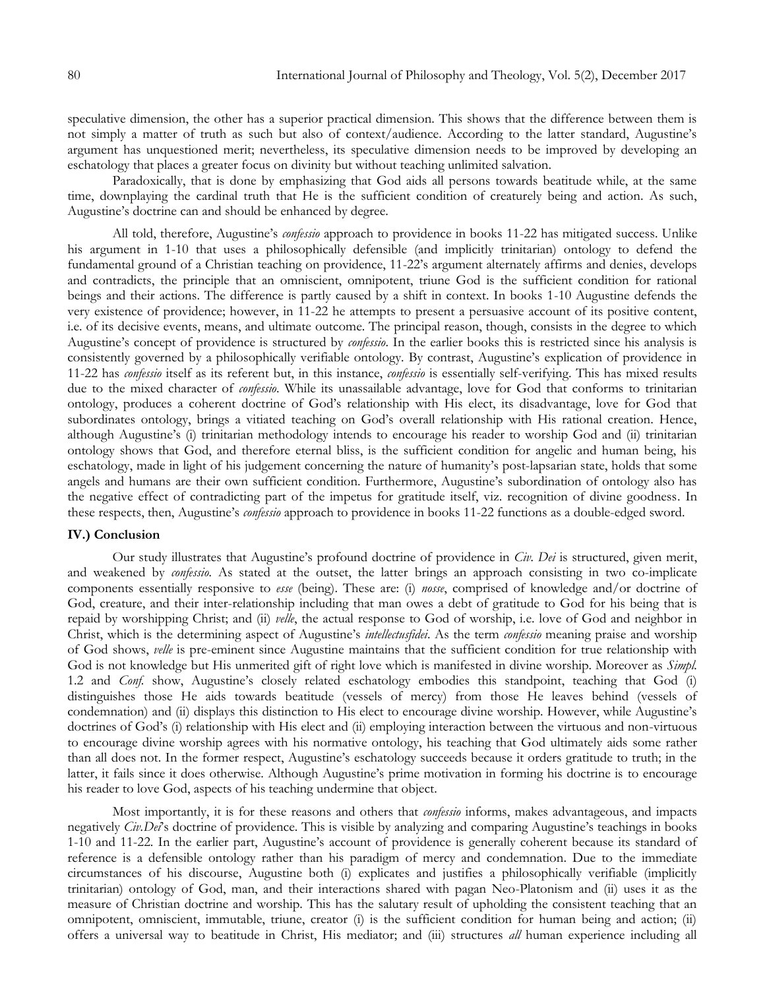speculative dimension, the other has a superior practical dimension. This shows that the difference between them is not simply a matter of truth as such but also of context/audience. According to the latter standard, Augustine"s argument has unquestioned merit; nevertheless, its speculative dimension needs to be improved by developing an eschatology that places a greater focus on divinity but without teaching unlimited salvation.

Paradoxically, that is done by emphasizing that God aids all persons towards beatitude while, at the same time, downplaying the cardinal truth that He is the sufficient condition of creaturely being and action. As such, Augustine's doctrine can and should be enhanced by degree.

All told, therefore, Augustine"s *confessio* approach to providence in books 11-22 has mitigated success. Unlike his argument in 1-10 that uses a philosophically defensible (and implicitly trinitarian) ontology to defend the fundamental ground of a Christian teaching on providence, 11-22"s argument alternately affirms and denies, develops and contradicts, the principle that an omniscient, omnipotent, triune God is the sufficient condition for rational beings and their actions. The difference is partly caused by a shift in context. In books 1-10 Augustine defends the very existence of providence; however, in 11-22 he attempts to present a persuasive account of its positive content, i.e. of its decisive events, means, and ultimate outcome. The principal reason, though, consists in the degree to which Augustine"s concept of providence is structured by *confessio*. In the earlier books this is restricted since his analysis is consistently governed by a philosophically verifiable ontology. By contrast, Augustine"s explication of providence in 11-22 has *confessio* itself as its referent but, in this instance, *confessio* is essentially self-verifying. This has mixed results due to the mixed character of *confessio*. While its unassailable advantage, love for God that conforms to trinitarian ontology, produces a coherent doctrine of God"s relationship with His elect, its disadvantage, love for God that subordinates ontology, brings a vitiated teaching on God's overall relationship with His rational creation. Hence, although Augustine's (i) trinitarian methodology intends to encourage his reader to worship God and (ii) trinitarian ontology shows that God, and therefore eternal bliss, is the sufficient condition for angelic and human being, his eschatology, made in light of his judgement concerning the nature of humanity"s post-lapsarian state, holds that some angels and humans are their own sufficient condition. Furthermore, Augustine's subordination of ontology also has the negative effect of contradicting part of the impetus for gratitude itself, viz. recognition of divine goodness. In these respects, then, Augustine"s *confessio* approach to providence in books 11-22 functions as a double-edged sword.

### **IV.) Conclusion**

Our study illustrates that Augustine"s profound doctrine of providence in *Civ. Dei* is structured, given merit, and weakened by *confessio.* As stated at the outset, the latter brings an approach consisting in two co-implicate components essentially responsive to *esse* (being). These are: (i) *nosse*, comprised of knowledge and/or doctrine of God, creature, and their inter-relationship including that man owes a debt of gratitude to God for his being that is repaid by worshipping Christ; and (ii) *velle*, the actual response to God of worship, i.e. love of God and neighbor in Christ, which is the determining aspect of Augustine"s *intellectusfidei*. As the term *confessio* meaning praise and worship of God shows, *velle* is pre-eminent since Augustine maintains that the sufficient condition for true relationship with God is not knowledge but His unmerited gift of right love which is manifested in divine worship. Moreover as *Simpl.* 1.2 and *Conf.* show, Augustine's closely related eschatology embodies this standpoint, teaching that God (i) distinguishes those He aids towards beatitude (vessels of mercy) from those He leaves behind (vessels of condemnation) and (ii) displays this distinction to His elect to encourage divine worship. However, while Augustine"s doctrines of God's (i) relationship with His elect and (ii) employing interaction between the virtuous and non-virtuous to encourage divine worship agrees with his normative ontology, his teaching that God ultimately aids some rather than all does not. In the former respect, Augustine"s eschatology succeeds because it orders gratitude to truth; in the latter, it fails since it does otherwise. Although Augustine"s prime motivation in forming his doctrine is to encourage his reader to love God, aspects of his teaching undermine that object.

Most importantly, it is for these reasons and others that *confessio* informs, makes advantageous, and impacts negatively *Civ.Dei*"s doctrine of providence. This is visible by analyzing and comparing Augustine"s teachings in books 1-10 and 11-22. In the earlier part, Augustine"s account of providence is generally coherent because its standard of reference is a defensible ontology rather than his paradigm of mercy and condemnation. Due to the immediate circumstances of his discourse, Augustine both (i) explicates and justifies a philosophically verifiable (implicitly trinitarian) ontology of God, man, and their interactions shared with pagan Neo-Platonism and (ii) uses it as the measure of Christian doctrine and worship. This has the salutary result of upholding the consistent teaching that an omnipotent, omniscient, immutable, triune, creator (i) is the sufficient condition for human being and action; (ii) offers a universal way to beatitude in Christ, His mediator; and (iii) structures *all* human experience including all